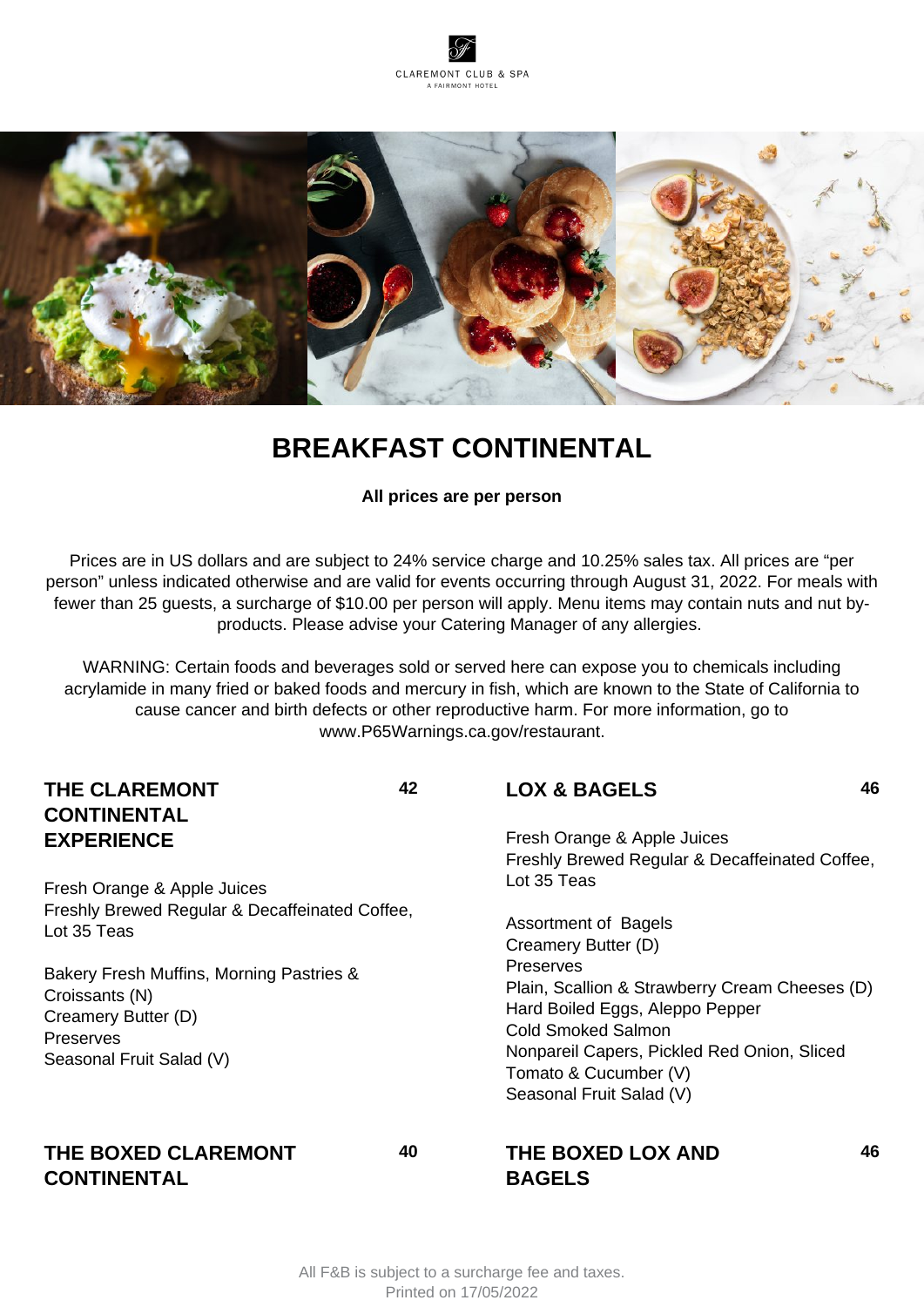



### **BREAKFAST CONTINENTAL**

#### **All prices are per person**

Prices are in US dollars and are subject to 24% service charge and 10.25% sales tax. All prices are "per person" unless indicated otherwise and are valid for events occurring through August 31, 2022. For meals with fewer than 25 guests, a surcharge of \$10.00 per person will apply. Menu items may contain nuts and nut byproducts. Please advise your Catering Manager of any allergies.

WARNING: Certain foods and beverages sold or served here can expose you to chemicals including acrylamide in many fried or baked foods and mercury in fish, which are known to the State of California to cause cancer and birth defects or other reproductive harm. For more information, go to www.P65Warnings.ca.gov/restaurant.

| <b>THE CLAREMONT</b><br><b>CONTINENTAL</b>                                                            | 42 | <b>LOX &amp; BAGELS</b>                                                                                                            | 46 |
|-------------------------------------------------------------------------------------------------------|----|------------------------------------------------------------------------------------------------------------------------------------|----|
| <b>EXPERIENCE</b>                                                                                     |    | Fresh Orange & Apple Juices<br>Freshly Brewed Regular & Decaffeinated Coffee,<br>Lot 35 Teas                                       |    |
| Fresh Orange & Apple Juices<br>Freshly Brewed Regular & Decaffeinated Coffee,<br>Lot 35 Teas          |    | <b>Assortment of Bagels</b><br>Creamery Butter (D)                                                                                 |    |
| Bakery Fresh Muffins, Morning Pastries &<br>Croissants (N)<br>Creamery Butter (D)<br><b>Preserves</b> |    | <b>Preserves</b><br>Plain, Scallion & Strawberry Cream Cheeses (D)<br>Hard Boiled Eggs, Aleppo Pepper<br><b>Cold Smoked Salmon</b> |    |
| Seasonal Fruit Salad (V)                                                                              |    | Nonpareil Capers, Pickled Red Onion, Sliced<br>Tomato & Cucumber (V)<br>Seasonal Fruit Salad (V)                                   |    |
| TUE BAVER CLABEMANT                                                                                   | ΛN | TUE DAVEN I AV ANN                                                                                                                 | 1ĥ |

### **THE BOXED CLAREMONT CONTINENTAL**

#### **40 THE BOXED LOX AND BAGELS**

**46**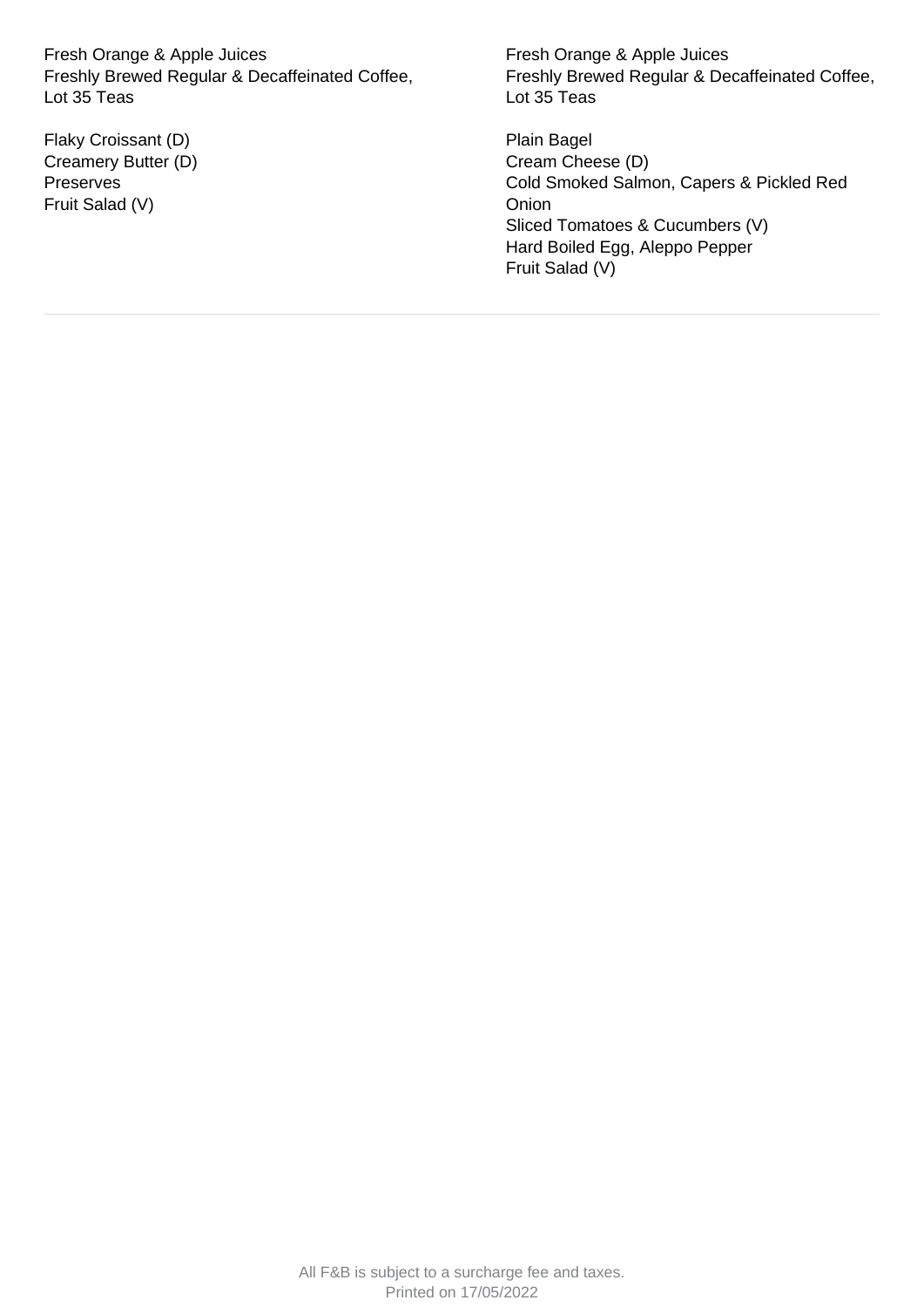Fresh Orange & Apple Juices Freshly Brewed Regular & Decaffeinated Coffee, Lot 35 Teas

Flaky Croissant (D) Creamery Butter (D) Preserves Fruit Salad (V)

Fresh Orange & Apple Juices Freshly Brewed Regular & Decaffeinated Coffee, Lot 35 Teas

Plain Bagel Cream Cheese (D) Cold Smoked Salmon, Capers & Pickled Red Onion Sliced Tomatoes & Cucumbers (V) Hard Boiled Egg, Aleppo Pepper Fruit Salad (V)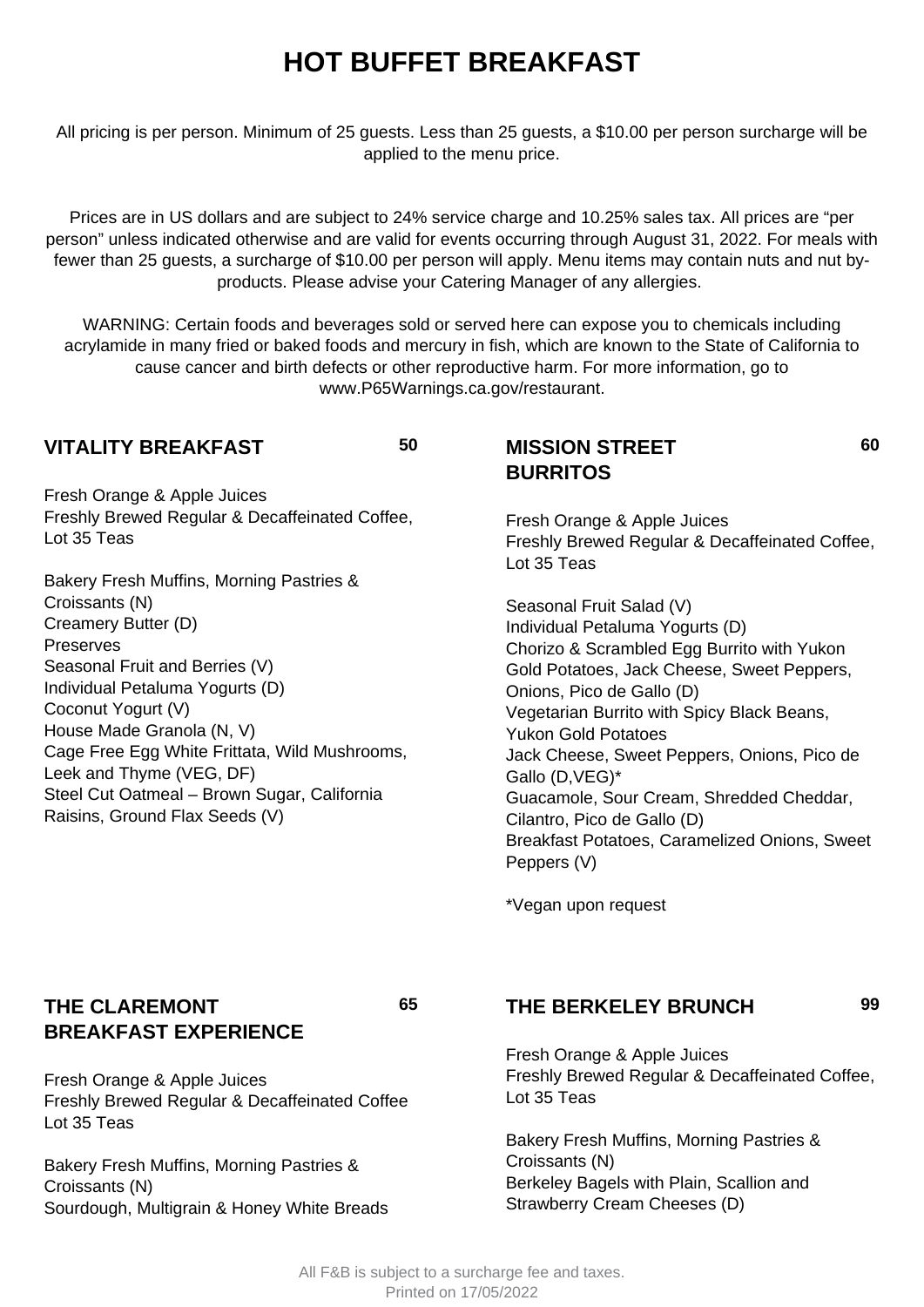### **HOT BUFFET BREAKFAST**

All pricing is per person. Minimum of 25 guests. Less than 25 guests, a \$10.00 per person surcharge will be applied to the menu price.

Prices are in US dollars and are subject to 24% service charge and 10.25% sales tax. All prices are "per person" unless indicated otherwise and are valid for events occurring through August 31, 2022. For meals with fewer than 25 guests, a surcharge of \$10.00 per person will apply. Menu items may contain nuts and nut byproducts. Please advise your Catering Manager of any allergies.

WARNING: Certain foods and beverages sold or served here can expose you to chemicals including acrylamide in many fried or baked foods and mercury in fish, which are known to the State of California to cause cancer and birth defects or other reproductive harm. For more information, go to www.P65Warnings.ca.gov/restaurant.

#### **VITALITY BREAKFAST 50**

Fresh Orange & Apple Juices Freshly Brewed Regular & Decaffeinated Coffee, Lot 35 Teas

Bakery Fresh Muffins, Morning Pastries & Croissants (N) Creamery Butter (D) Preserves Seasonal Fruit and Berries (V) Individual Petaluma Yogurts (D) Coconut Yogurt (V) House Made Granola (N, V) Cage Free Egg White Frittata, Wild Mushrooms, Leek and Thyme (VEG, DF) Steel Cut Oatmeal – Brown Sugar, California Raisins, Ground Flax Seeds (V)

### **MISSION STREET BURRITOS**

Fresh Orange & Apple Juices Freshly Brewed Regular & Decaffeinated Coffee, Lot 35 Teas

Seasonal Fruit Salad (V) Individual Petaluma Yogurts (D) Chorizo & Scrambled Egg Burrito with Yukon Gold Potatoes, Jack Cheese, Sweet Peppers, Onions, Pico de Gallo (D) Vegetarian Burrito with Spicy Black Beans, Yukon Gold Potatoes Jack Cheese, Sweet Peppers, Onions, Pico de Gallo (D,VEG)\* Guacamole, Sour Cream, Shredded Cheddar, Cilantro, Pico de Gallo (D) Breakfast Potatoes, Caramelized Onions, Sweet Peppers (V)

\*Vegan upon request

### **THE CLAREMONT BREAKFAST EXPERIENCE**

**65**

Fresh Orange & Apple Juices

Freshly Brewed Regular & Decaffeinated Coffee Lot 35 Teas

Bakery Fresh Muffins, Morning Pastries & Croissants (N) Sourdough, Multigrain & Honey White Breads

### **THE BERKELEY BRUNCH 99**

**60**

Fresh Orange & Apple Juices Freshly Brewed Regular & Decaffeinated Coffee, Lot 35 Teas

Bakery Fresh Muffins, Morning Pastries & Croissants (N) Berkeley Bagels with Plain, Scallion and Strawberry Cream Cheeses (D)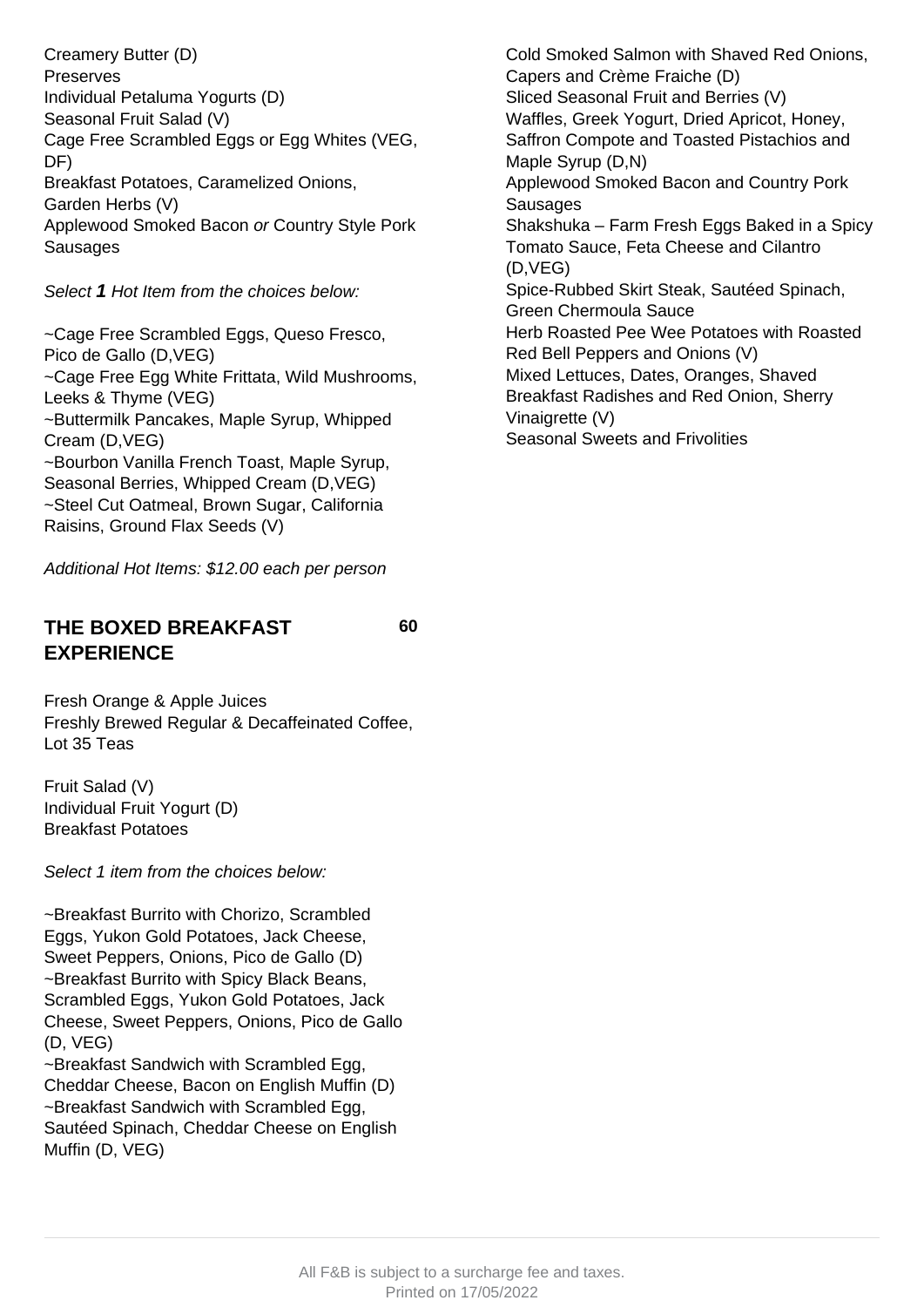Creamery Butter (D) Preserves Individual Petaluma Yogurts (D) Seasonal Fruit Salad (V) Cage Free Scrambled Eggs or Egg Whites (VEG, DF) Breakfast Potatoes, Caramelized Onions, Garden Herbs (V) Applewood Smoked Bacon or Country Style Pork Sausages

Select **1** Hot Item from the choices below:

~Cage Free Scrambled Eggs, Queso Fresco, Pico de Gallo (D,VEG) ~Cage Free Egg White Frittata, Wild Mushrooms, Leeks & Thyme (VEG) ~Buttermilk Pancakes, Maple Syrup, Whipped Cream (D,VEG) ~Bourbon Vanilla French Toast, Maple Syrup, Seasonal Berries, Whipped Cream (D,VEG) ~Steel Cut Oatmeal, Brown Sugar, California Raisins, Ground Flax Seeds (V)

Additional Hot Items: \$12.00 each per person

### **THE BOXED BREAKFAST EXPERIENCE**

**60**

Fresh Orange & Apple Juices Freshly Brewed Regular & Decaffeinated Coffee, Lot 35 Teas

Fruit Salad (V) Individual Fruit Yogurt (D) Breakfast Potatoes

Select 1 item from the choices below:

~Breakfast Burrito with Chorizo, Scrambled Eggs, Yukon Gold Potatoes, Jack Cheese, Sweet Peppers, Onions, Pico de Gallo (D) ~Breakfast Burrito with Spicy Black Beans, Scrambled Eggs, Yukon Gold Potatoes, Jack Cheese, Sweet Peppers, Onions, Pico de Gallo (D, VEG)

~Breakfast Sandwich with Scrambled Egg, Cheddar Cheese, Bacon on English Muffin (D) ~Breakfast Sandwich with Scrambled Egg, Sautéed Spinach, Cheddar Cheese on English Muffin (D, VEG)

Cold Smoked Salmon with Shaved Red Onions, Capers and Crème Fraiche (D) Sliced Seasonal Fruit and Berries (V) Waffles, Greek Yogurt, Dried Apricot, Honey, Saffron Compote and Toasted Pistachios and Maple Syrup (D,N) Applewood Smoked Bacon and Country Pork **Sausages** Shakshuka – Farm Fresh Eggs Baked in a Spicy Tomato Sauce, Feta Cheese and Cilantro (D,VEG) Spice-Rubbed Skirt Steak, Sautéed Spinach, Green Chermoula Sauce Herb Roasted Pee Wee Potatoes with Roasted Red Bell Peppers and Onions (V) Mixed Lettuces, Dates, Oranges, Shaved Breakfast Radishes and Red Onion, Sherry Vinaigrette (V) Seasonal Sweets and Frivolities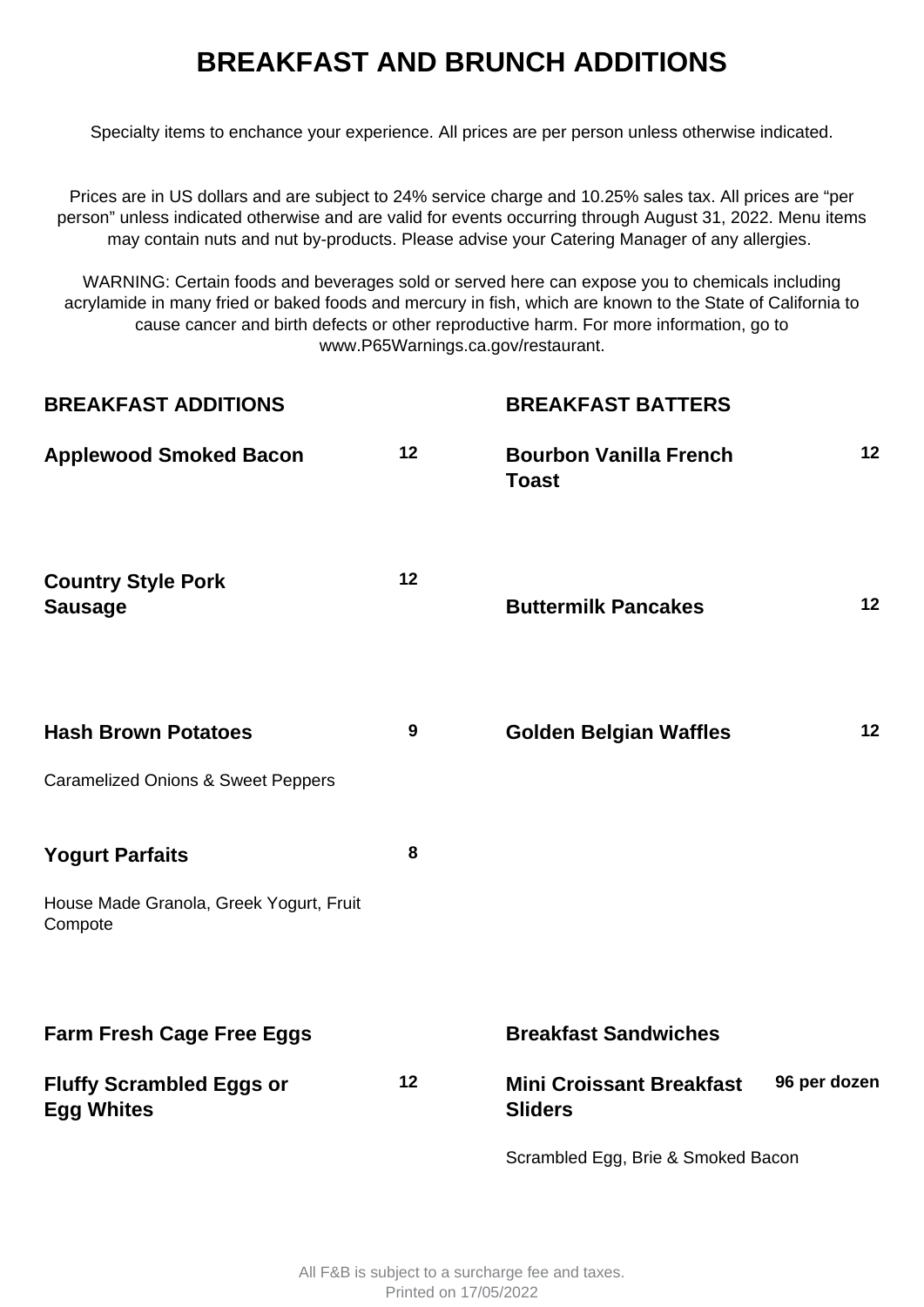### **BREAKFAST AND BRUNCH ADDITIONS**

Specialty items to enchance your experience. All prices are per person unless otherwise indicated.

Prices are in US dollars and are subject to 24% service charge and 10.25% sales tax. All prices are "per person" unless indicated otherwise and are valid for events occurring through August 31, 2022. Menu items may contain nuts and nut by-products. Please advise your Catering Manager of any allergies.

| <b>BREAKFAST ADDITIONS</b>                           |    | <b>BREAKFAST BATTERS</b>                          |              |
|------------------------------------------------------|----|---------------------------------------------------|--------------|
| <b>Applewood Smoked Bacon</b>                        | 12 | <b>Bourbon Vanilla French</b><br><b>Toast</b>     | 12           |
| <b>Country Style Pork</b><br><b>Sausage</b>          | 12 | <b>Buttermilk Pancakes</b>                        | 12           |
| <b>Hash Brown Potatoes</b>                           | 9  | <b>Golden Belgian Waffles</b>                     | 12           |
| <b>Caramelized Onions &amp; Sweet Peppers</b>        |    |                                                   |              |
| <b>Yogurt Parfaits</b>                               | 8  |                                                   |              |
| House Made Granola, Greek Yogurt, Fruit<br>Compote   |    |                                                   |              |
| <b>Farm Fresh Cage Free Eggs</b>                     |    | <b>Breakfast Sandwiches</b>                       |              |
| <b>Fluffy Scrambled Eggs or</b><br><b>Egg Whites</b> | 12 | <b>Mini Croissant Breakfast</b><br><b>Sliders</b> | 96 per dozen |
|                                                      |    | Scrambled Egg, Brie & Smoked Bacon                |              |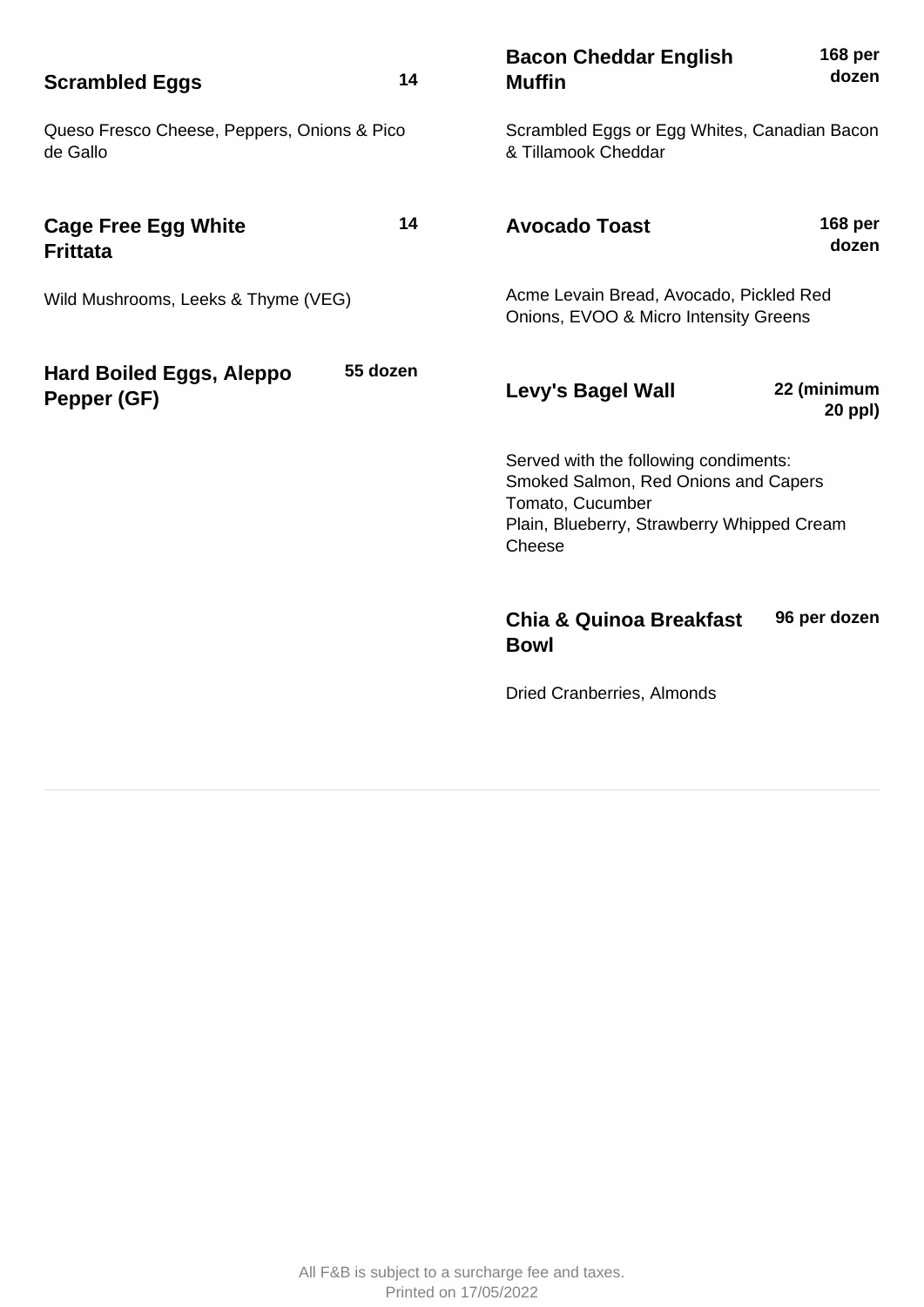| <b>Scrambled Eggs</b>                                   | 14       | <b>Bacon Cheddar English</b><br><b>Muffin</b>                                                                                                             | <b>168 per</b><br>dozen |
|---------------------------------------------------------|----------|-----------------------------------------------------------------------------------------------------------------------------------------------------------|-------------------------|
| Queso Fresco Cheese, Peppers, Onions & Pico<br>de Gallo |          | Scrambled Eggs or Egg Whites, Canadian Bacon<br>& Tillamook Cheddar                                                                                       |                         |
| <b>Cage Free Egg White</b><br><b>Frittata</b>           | 14       | <b>Avocado Toast</b>                                                                                                                                      | <b>168 per</b><br>dozen |
| Wild Mushrooms, Leeks & Thyme (VEG)                     |          | Acme Levain Bread, Avocado, Pickled Red<br>Onions, EVOO & Micro Intensity Greens                                                                          |                         |
| <b>Hard Boiled Eggs, Aleppo</b><br>Pepper (GF)          | 55 dozen | <b>Levy's Bagel Wall</b>                                                                                                                                  | 22 (minimum<br>20 ppl)  |
|                                                         |          | Served with the following condiments:<br>Smoked Salmon, Red Onions and Capers<br>Tomato, Cucumber<br>Plain, Blueberry, Strawberry Whipped Cream<br>Cheese |                         |
|                                                         |          | <b>Chia &amp; Quinoa Breakfast</b><br><b>Bowl</b>                                                                                                         | 96 per dozen            |
|                                                         |          | <b>Dried Cranberries, Almonds</b>                                                                                                                         |                         |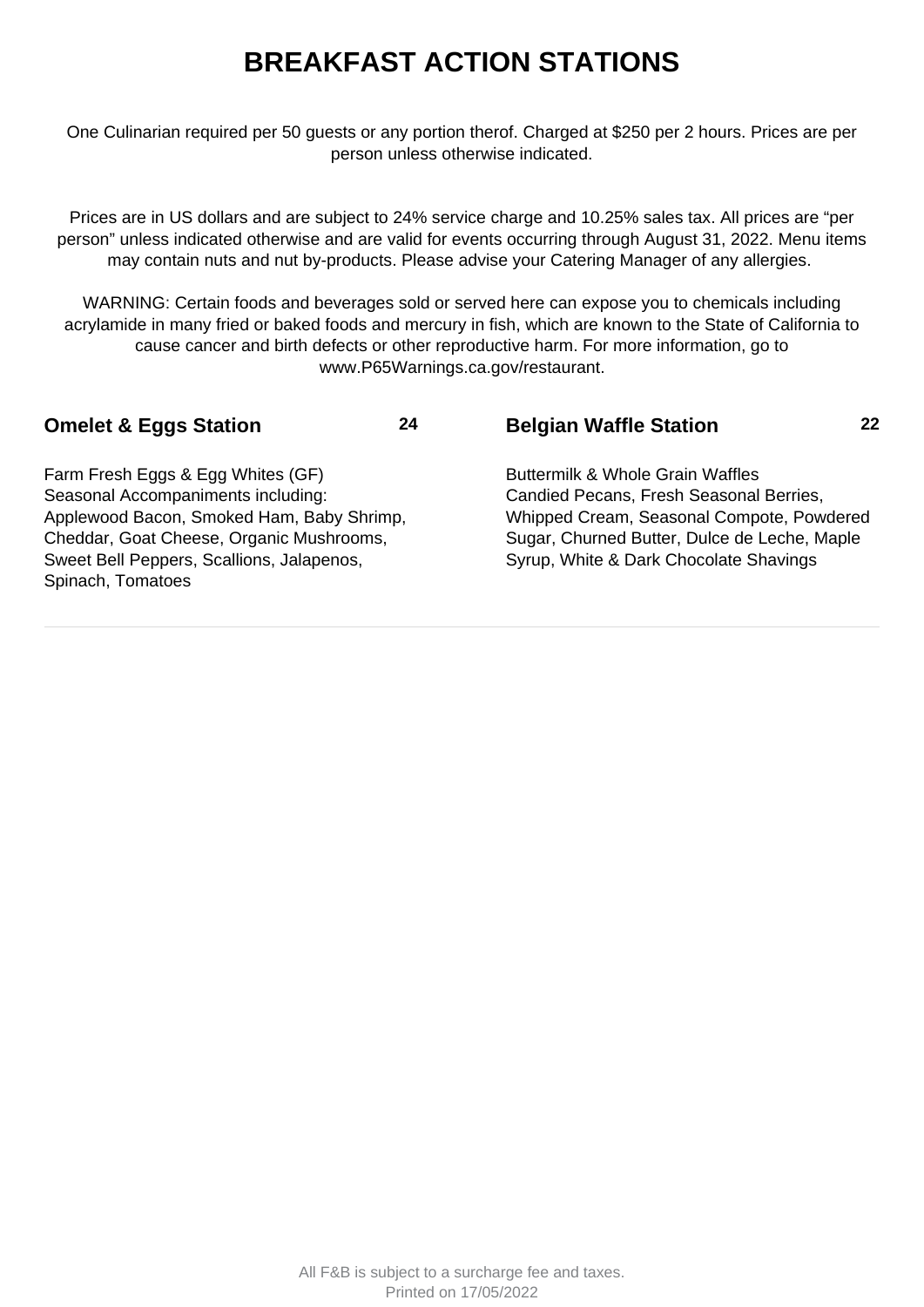### **BREAKFAST ACTION STATIONS**

One Culinarian required per 50 guests or any portion therof. Charged at \$250 per 2 hours. Prices are per person unless otherwise indicated.

Prices are in US dollars and are subject to 24% service charge and 10.25% sales tax. All prices are "per person" unless indicated otherwise and are valid for events occurring through August 31, 2022. Menu items may contain nuts and nut by-products. Please advise your Catering Manager of any allergies.

| <b>Omelet &amp; Eggs Station</b>          | 24 | <b>Belgian Waffle Station</b>                | 22 |
|-------------------------------------------|----|----------------------------------------------|----|
| Farm Fresh Eggs & Egg Whites (GF)         |    | Buttermilk & Whole Grain Waffles             |    |
| Seasonal Accompaniments including:        |    | Candied Pecans, Fresh Seasonal Berries,      |    |
| Applewood Bacon, Smoked Ham, Baby Shrimp, |    | Whipped Cream, Seasonal Compote, Powdered    |    |
| Cheddar, Goat Cheese, Organic Mushrooms,  |    | Sugar, Churned Butter, Dulce de Leche, Maple |    |
| Sweet Bell Peppers, Scallions, Jalapenos, |    | Syrup, White & Dark Chocolate Shavings       |    |
| Spinach, Tomatoes                         |    |                                              |    |
|                                           |    |                                              |    |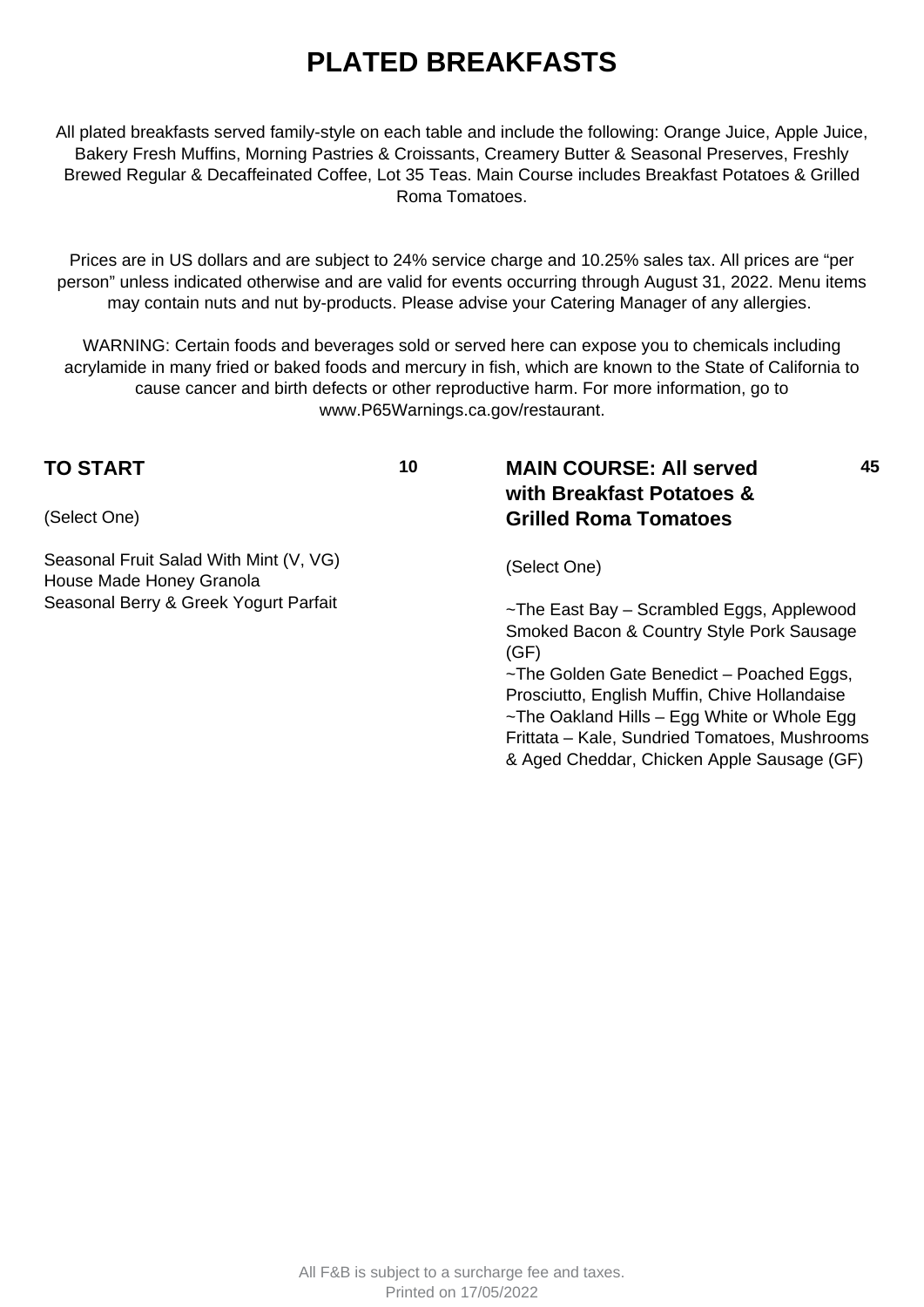### **PLATED BREAKFASTS**

All plated breakfasts served family-style on each table and include the following: Orange Juice, Apple Juice, Bakery Fresh Muffins, Morning Pastries & Croissants, Creamery Butter & Seasonal Preserves, Freshly Brewed Regular & Decaffeinated Coffee, Lot 35 Teas. Main Course includes Breakfast Potatoes & Grilled Roma Tomatoes.

Prices are in US dollars and are subject to 24% service charge and 10.25% sales tax. All prices are "per person" unless indicated otherwise and are valid for events occurring through August 31, 2022. Menu items may contain nuts and nut by-products. Please advise your Catering Manager of any allergies.

WARNING: Certain foods and beverages sold or served here can expose you to chemicals including acrylamide in many fried or baked foods and mercury in fish, which are known to the State of California to cause cancer and birth defects or other reproductive harm. For more information, go to www.P65Warnings.ca.gov/restaurant.

| <b>TO START</b> | 10 |
|-----------------|----|
|                 |    |

(Select One)

Seasonal Fruit Salad With Mint (V, VG) House Made Honey Granola Seasonal Berry & Greek Yogurt Parfait

**MAIN COURSE: All served with Breakfast Potatoes & Grilled Roma Tomatoes**

**45**

(Select One)

~The East Bay – Scrambled Eggs, Applewood Smoked Bacon & Country Style Pork Sausage (GF)

~The Golden Gate Benedict – Poached Eggs, Prosciutto, English Muffin, Chive Hollandaise ~The Oakland Hills – Egg White or Whole Egg Frittata – Kale, Sundried Tomatoes, Mushrooms & Aged Cheddar, Chicken Apple Sausage (GF)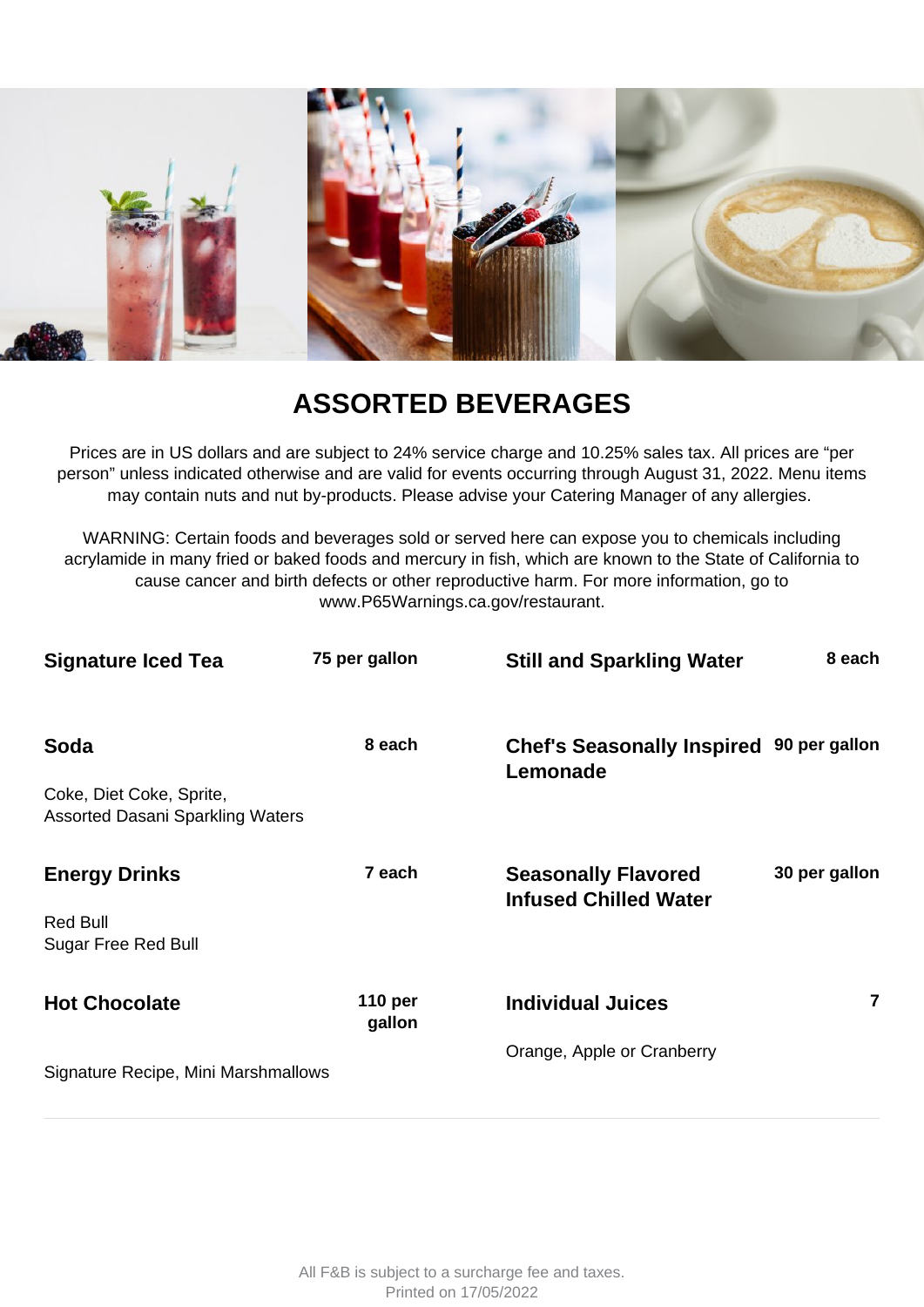

### **ASSORTED BEVERAGES**

Prices are in US dollars and are subject to 24% service charge and 10.25% sales tax. All prices are "per person" unless indicated otherwise and are valid for events occurring through August 31, 2022. Menu items may contain nuts and nut by-products. Please advise your Catering Manager of any allergies.

| <b>Signature Iced Tea</b>                                           | 75 per gallon     | <b>Still and Sparkling Water</b>                           | 8 each        |
|---------------------------------------------------------------------|-------------------|------------------------------------------------------------|---------------|
| Soda                                                                | 8 each            | Chef's Seasonally Inspired 90 per gallon<br>Lemonade       |               |
| Coke, Diet Coke, Sprite,<br><b>Assorted Dasani Sparkling Waters</b> |                   |                                                            |               |
| <b>Energy Drinks</b>                                                | 7 each            | <b>Seasonally Flavored</b><br><b>Infused Chilled Water</b> | 30 per gallon |
| <b>Red Bull</b><br>Sugar Free Red Bull                              |                   |                                                            |               |
| <b>Hot Chocolate</b>                                                | 110 per<br>gallon | <b>Individual Juices</b>                                   | 7             |
| Signature Recipe, Mini Marshmallows                                 |                   | Orange, Apple or Cranberry                                 |               |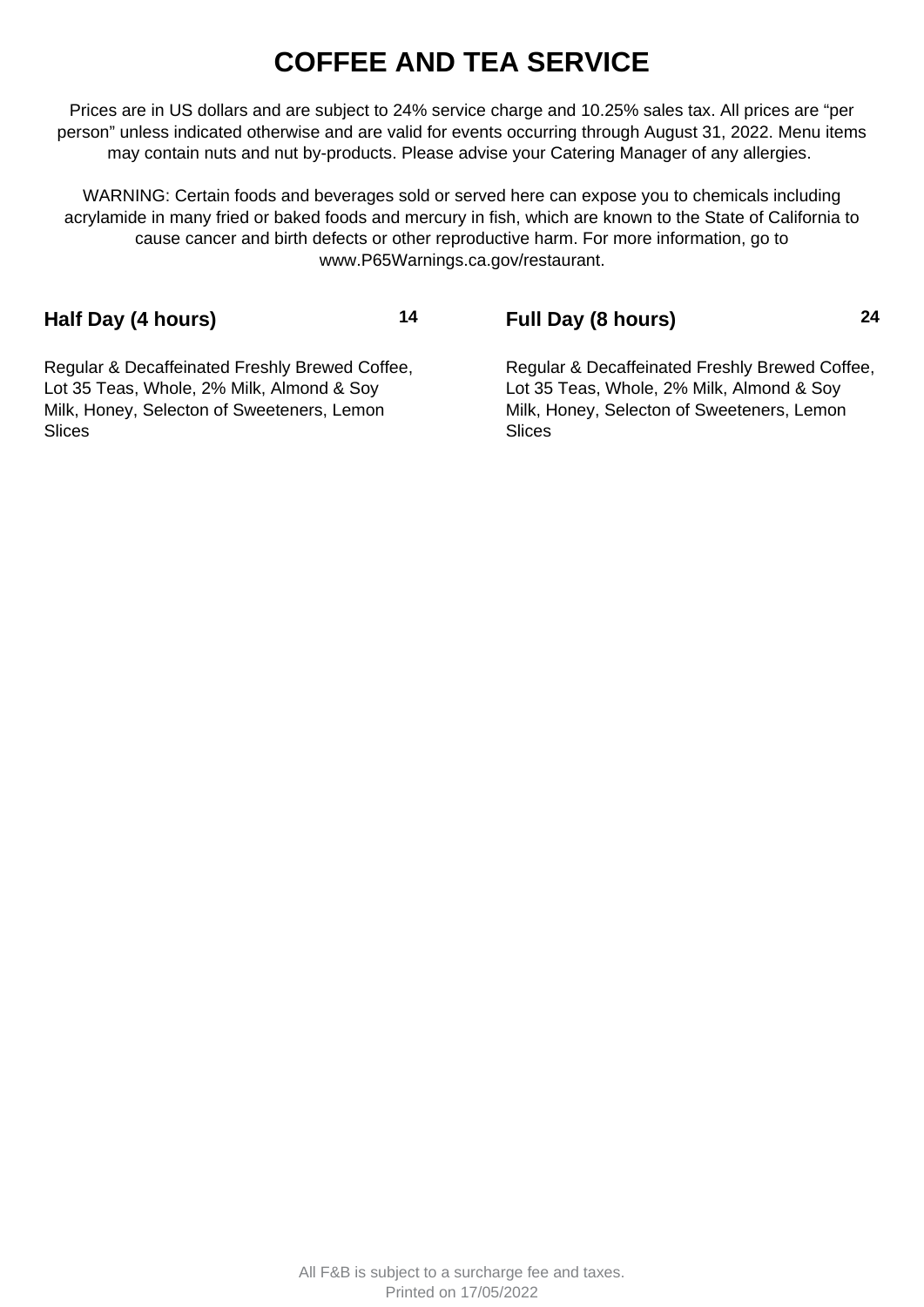# **COFFEE AND TEA SERVICE**

Prices are in US dollars and are subject to 24% service charge and 10.25% sales tax. All prices are "per person" unless indicated otherwise and are valid for events occurring through August 31, 2022. Menu items may contain nuts and nut by-products. Please advise your Catering Manager of any allergies.

WARNING: Certain foods and beverages sold or served here can expose you to chemicals including acrylamide in many fried or baked foods and mercury in fish, which are known to the State of California to cause cancer and birth defects or other reproductive harm. For more information, go to www.P65Warnings.ca.gov/restaurant.

**Half Day (4 hours) 14 Full Day (8 hours) 24**

Regular & Decaffeinated Freshly Brewed Coffee, Lot 35 Teas, Whole, 2% Milk, Almond & Soy Milk, Honey, Selecton of Sweeteners, Lemon **Slices** 

Regular & Decaffeinated Freshly Brewed Coffee, Lot 35 Teas, Whole, 2% Milk, Almond & Soy Milk, Honey, Selecton of Sweeteners, Lemon **Slices**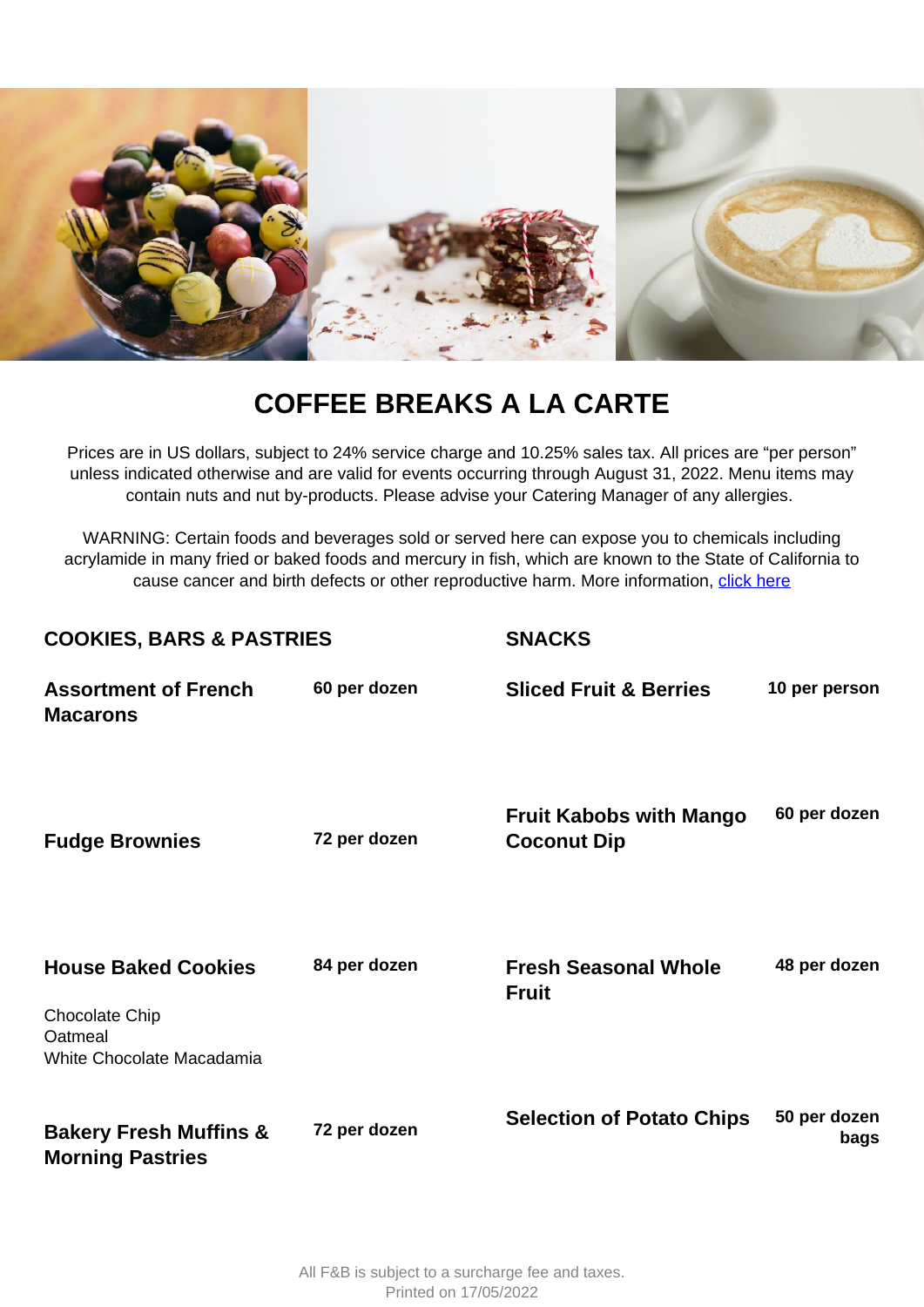

### **COFFEE BREAKS A LA CARTE**

Prices are in US dollars, subject to 24% service charge and 10.25% sales tax. All prices are "per person" unless indicated otherwise and are valid for events occurring through August 31, 2022. Menu items may contain nuts and nut by-products. Please advise your Catering Manager of any allergies.

WARNING: Certain foods and beverages sold or served here can expose you to chemicals including acrylamide in many fried or baked foods and mercury in fish, which are known to the State of California to cause cancer and birth defects or other reproductive harm. More information, [click here](https://www.p65warnings.ca.gov/places/restaurants)

| <b>COOKIES, BARS &amp; PASTRIES</b>                                                         |              | <b>SNACKS</b>                                        |                      |
|---------------------------------------------------------------------------------------------|--------------|------------------------------------------------------|----------------------|
| <b>Assortment of French</b><br><b>Macarons</b>                                              | 60 per dozen | <b>Sliced Fruit &amp; Berries</b>                    | 10 per person        |
| <b>Fudge Brownies</b>                                                                       | 72 per dozen | <b>Fruit Kabobs with Mango</b><br><b>Coconut Dip</b> | 60 per dozen         |
| <b>House Baked Cookies</b><br><b>Chocolate Chip</b><br>Oatmeal<br>White Chocolate Macadamia | 84 per dozen | <b>Fresh Seasonal Whole</b><br><b>Fruit</b>          | 48 per dozen         |
| <b>Bakery Fresh Muffins &amp;</b><br><b>Morning Pastries</b>                                | 72 per dozen | <b>Selection of Potato Chips</b>                     | 50 per dozen<br>bags |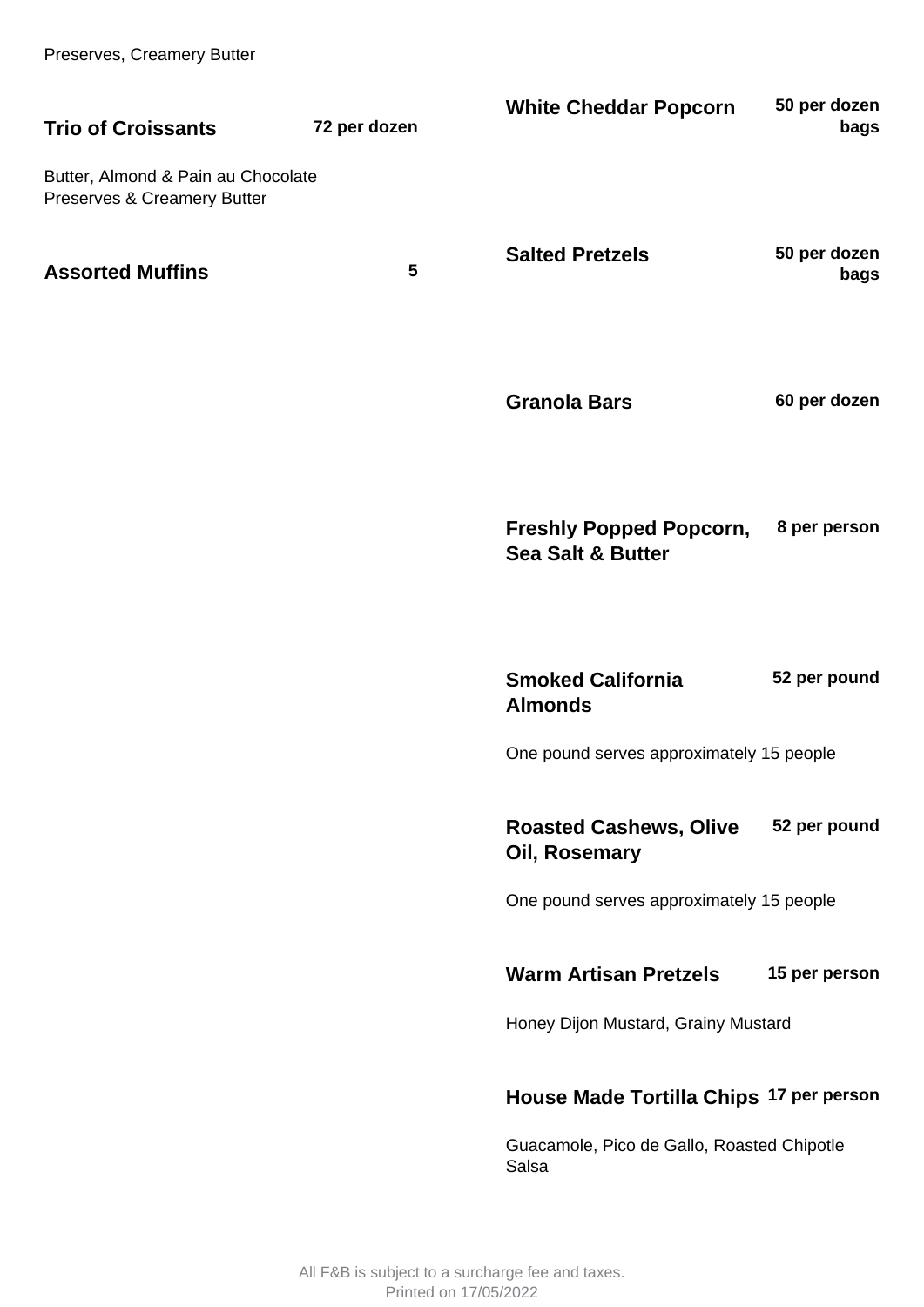| <b>Trio of Croissants</b>                                         | 72 per dozen | <b>White Cheddar Popcorn</b>                                                           | 50 per dozen<br>bags |
|-------------------------------------------------------------------|--------------|----------------------------------------------------------------------------------------|----------------------|
| Butter, Almond & Pain au Chocolate<br>Preserves & Creamery Butter |              |                                                                                        |                      |
| <b>Assorted Muffins</b>                                           | 5            | <b>Salted Pretzels</b>                                                                 | 50 per dozen<br>bags |
|                                                                   |              | <b>Granola Bars</b>                                                                    | 60 per dozen         |
|                                                                   |              | <b>Freshly Popped Popcorn,</b><br><b>Sea Salt &amp; Butter</b>                         | 8 per person         |
|                                                                   |              | <b>Smoked California</b><br><b>Almonds</b><br>One pound serves approximately 15 people | 52 per pound         |
|                                                                   |              | <b>Roasted Cashews, Olive</b><br>Oil, Rosemary                                         | 52 per pound         |
|                                                                   |              | One pound serves approximately 15 people                                               |                      |
|                                                                   |              | <b>Warm Artisan Pretzels</b>                                                           | 15 per person        |
|                                                                   |              | Honey Dijon Mustard, Grainy Mustard                                                    |                      |
|                                                                   |              | House Made Tortilla Chips 17 per person                                                |                      |
|                                                                   |              | Guacamole, Pico de Gallo, Roasted Chipotle<br>Salsa                                    |                      |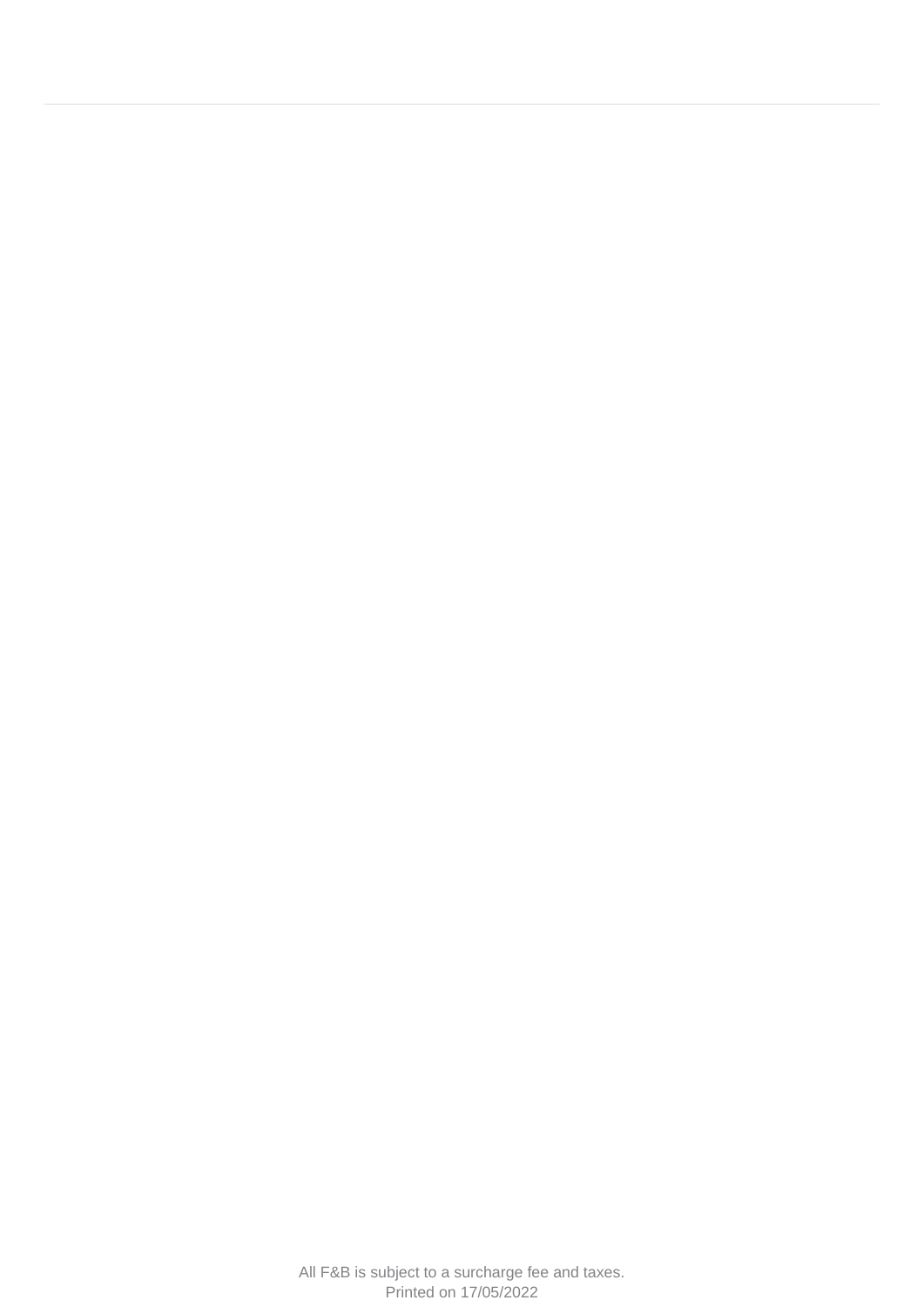All F&B is subject to a surcharge fee and taxes. Printed on 17/05/2022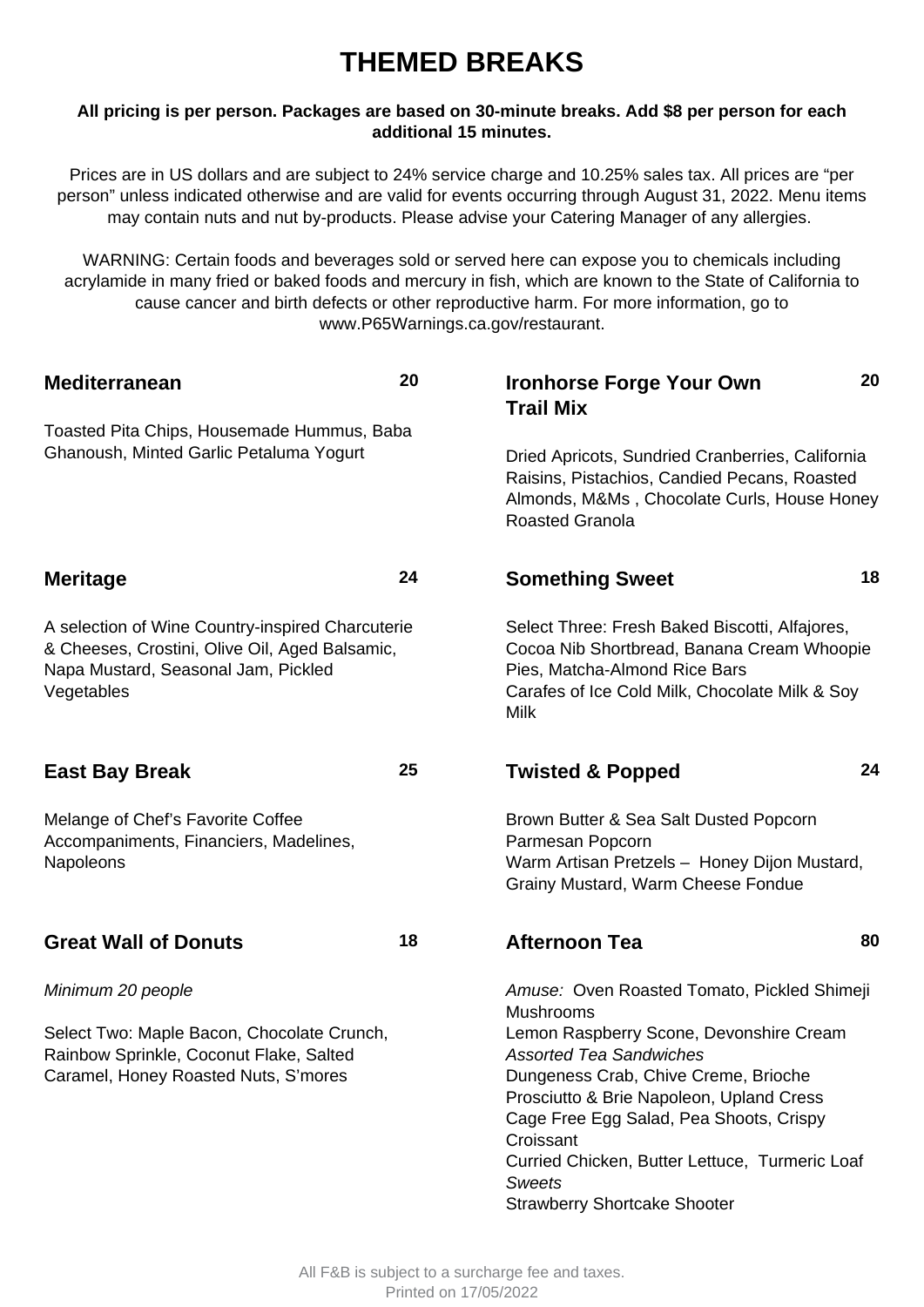### **THEMED BREAKS**

#### **All pricing is per person. Packages are based on 30-minute breaks. Add \$8 per person for each additional 15 minutes.**

Prices are in US dollars and are subject to 24% service charge and 10.25% sales tax. All prices are "per person" unless indicated otherwise and are valid for events occurring through August 31, 2022. Menu items may contain nuts and nut by-products. Please advise your Catering Manager of any allergies.

| <b>Mediterranean</b>                                                                                                                                    | 20 | <b>Ironhorse Forge Your Own</b><br><b>Trail Mix</b>                                                                                                                                                                                                                                                                                                                                                | 20 |
|---------------------------------------------------------------------------------------------------------------------------------------------------------|----|----------------------------------------------------------------------------------------------------------------------------------------------------------------------------------------------------------------------------------------------------------------------------------------------------------------------------------------------------------------------------------------------------|----|
| Toasted Pita Chips, Housemade Hummus, Baba<br>Ghanoush, Minted Garlic Petaluma Yogurt                                                                   |    | Dried Apricots, Sundried Cranberries, California<br>Raisins, Pistachios, Candied Pecans, Roasted<br>Almonds, M&Ms, Chocolate Curls, House Honey<br><b>Roasted Granola</b>                                                                                                                                                                                                                          |    |
| <b>Meritage</b>                                                                                                                                         | 24 | <b>Something Sweet</b>                                                                                                                                                                                                                                                                                                                                                                             | 18 |
| A selection of Wine Country-inspired Charcuterie<br>& Cheeses, Crostini, Olive Oil, Aged Balsamic,<br>Napa Mustard, Seasonal Jam, Pickled<br>Vegetables |    | Select Three: Fresh Baked Biscotti, Alfajores,<br>Cocoa Nib Shortbread, Banana Cream Whoopie<br>Pies, Matcha-Almond Rice Bars<br>Carafes of Ice Cold Milk, Chocolate Milk & Soy<br><b>Milk</b>                                                                                                                                                                                                     |    |
| <b>East Bay Break</b>                                                                                                                                   | 25 | <b>Twisted &amp; Popped</b>                                                                                                                                                                                                                                                                                                                                                                        | 24 |
| Melange of Chef's Favorite Coffee<br>Accompaniments, Financiers, Madelines,<br>Napoleons                                                                |    | Brown Butter & Sea Salt Dusted Popcorn<br>Parmesan Popcorn<br>Warm Artisan Pretzels - Honey Dijon Mustard,<br>Grainy Mustard, Warm Cheese Fondue                                                                                                                                                                                                                                                   |    |
| <b>Great Wall of Donuts</b>                                                                                                                             | 18 | <b>Afternoon Tea</b>                                                                                                                                                                                                                                                                                                                                                                               | 80 |
| Minimum 20 people<br>Select Two: Maple Bacon, Chocolate Crunch,<br>Rainbow Sprinkle, Coconut Flake, Salted<br>Caramel, Honey Roasted Nuts, S'mores      |    | Amuse: Oven Roasted Tomato, Pickled Shimeji<br><b>Mushrooms</b><br>Lemon Raspberry Scone, Devonshire Cream<br><b>Assorted Tea Sandwiches</b><br>Dungeness Crab, Chive Creme, Brioche<br>Prosciutto & Brie Napoleon, Upland Cress<br>Cage Free Egg Salad, Pea Shoots, Crispy<br>Croissant<br>Curried Chicken, Butter Lettuce, Turmeric Loaf<br><b>Sweets</b><br><b>Strawberry Shortcake Shooter</b> |    |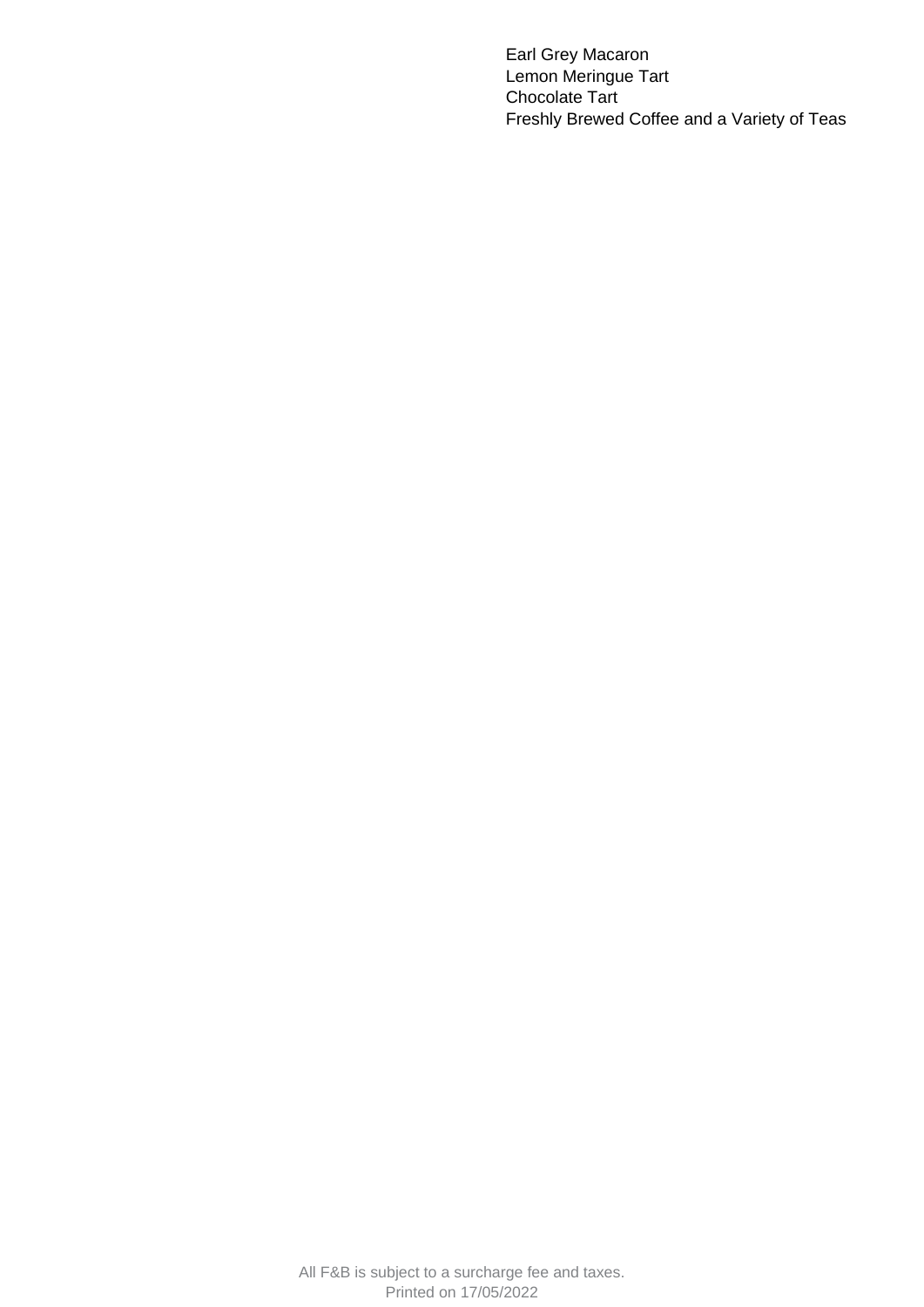Earl Grey Macaron Lemon Meringue Tart Chocolate Tart Freshly Brewed Coffee and a Variety of Teas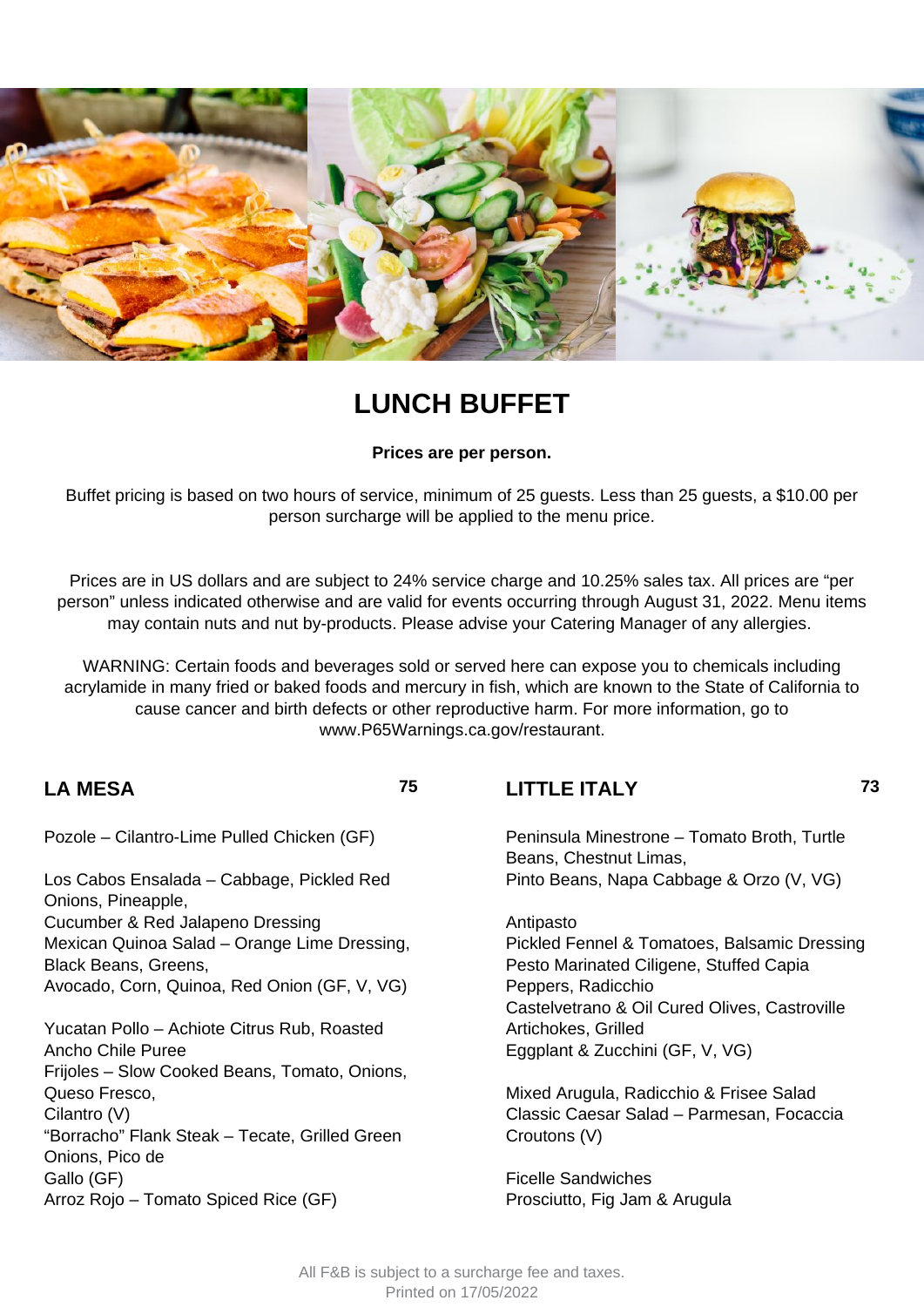

### **LUNCH BUFFET**

#### **Prices are per person.**

Buffet pricing is based on two hours of service, minimum of 25 guests. Less than 25 guests, a \$10.00 per person surcharge will be applied to the menu price.

Prices are in US dollars and are subject to 24% service charge and 10.25% sales tax. All prices are "per person" unless indicated otherwise and are valid for events occurring through August 31, 2022. Menu items may contain nuts and nut by-products. Please advise your Catering Manager of any allergies.

| <b>LA MESA</b>                                                    | 75 | <b>LITTLE ITALY</b>                                                   | 73 |
|-------------------------------------------------------------------|----|-----------------------------------------------------------------------|----|
| Pozole – Cilantro-Lime Pulled Chicken (GF)                        |    | Peninsula Minestrone - Tomato Broth, Turtle<br>Beans, Chestnut Limas, |    |
| Los Cabos Ensalada - Cabbage, Pickled Red<br>Onions, Pineapple,   |    | Pinto Beans, Napa Cabbage & Orzo (V, VG)                              |    |
| Cucumber & Red Jalapeno Dressing                                  |    | Antipasto                                                             |    |
| Mexican Quinoa Salad - Orange Lime Dressing,                      |    | Pickled Fennel & Tomatoes, Balsamic Dressing                          |    |
| Black Beans, Greens,                                              |    | Pesto Marinated Ciligene, Stuffed Capia                               |    |
| Avocado, Corn, Quinoa, Red Onion (GF, V, VG)                      |    | Peppers, Radicchio                                                    |    |
|                                                                   |    | Castelvetrano & Oil Cured Olives, Castroville                         |    |
| Yucatan Pollo – Achiote Citrus Rub, Roasted                       |    | Artichokes, Grilled                                                   |    |
| Ancho Chile Puree                                                 |    | Eggplant & Zucchini (GF, V, VG)                                       |    |
| Frijoles – Slow Cooked Beans, Tomato, Onions,                     |    |                                                                       |    |
| Queso Fresco,                                                     |    | Mixed Arugula, Radicchio & Frisee Salad                               |    |
| Cilantro (V)                                                      |    | Classic Caesar Salad - Parmesan, Focaccia                             |    |
| "Borracho" Flank Steak - Tecate, Grilled Green<br>Onions, Pico de |    | Croutons (V)                                                          |    |
| Gallo (GF)                                                        |    | <b>Ficelle Sandwiches</b>                                             |    |
| Arroz Rojo – Tomato Spiced Rice (GF)                              |    | Prosciutto, Fig Jam & Arugula                                         |    |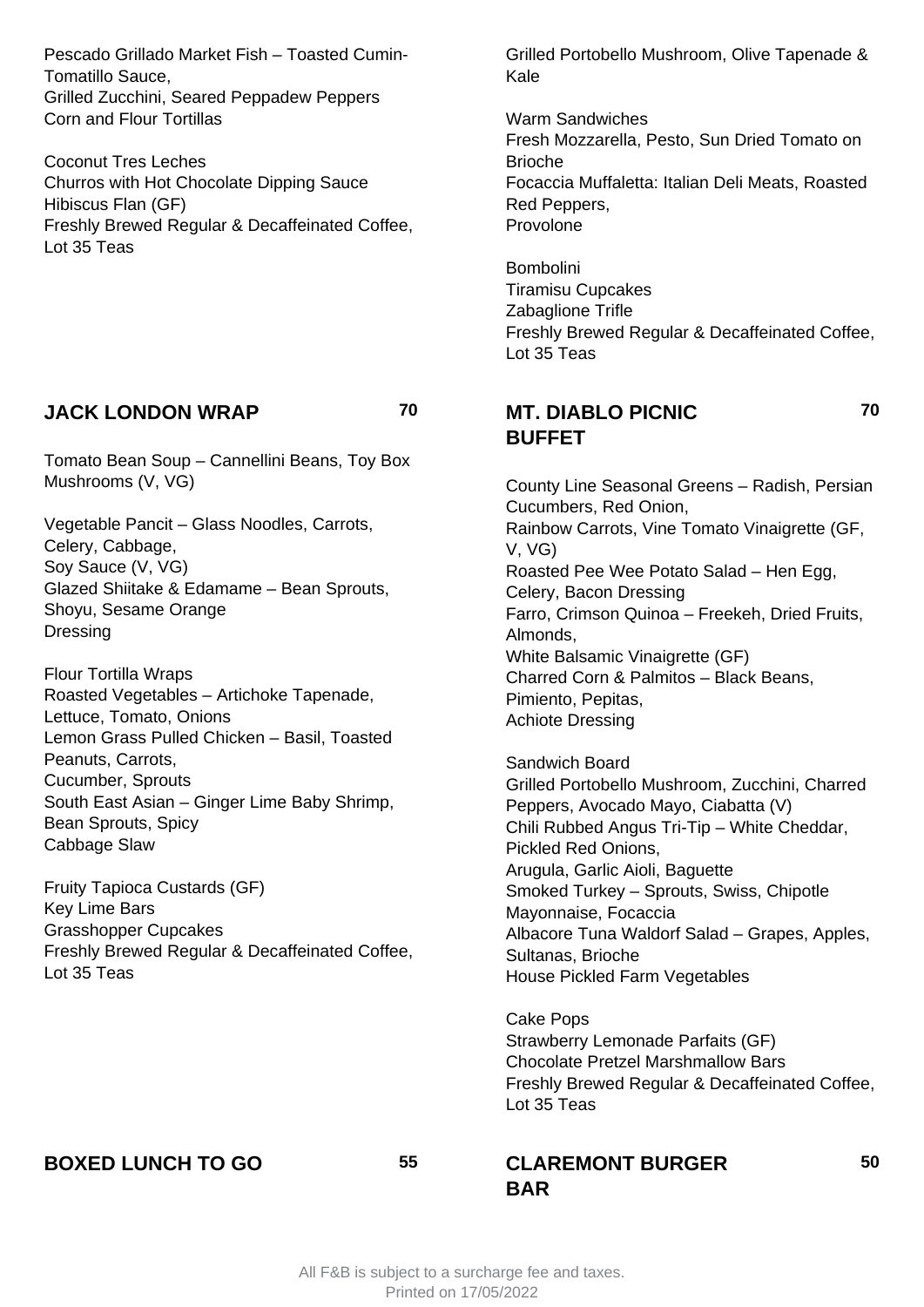Pescado Grillado Market Fish – Toasted Cumin-Tomatillo Sauce, Grilled Zucchini, Seared Peppadew Peppers Corn and Flour Tortillas

Coconut Tres Leches Churros with Hot Chocolate Dipping Sauce Hibiscus Flan (GF) Freshly Brewed Regular & Decaffeinated Coffee, Lot 35 Teas

### **JACK LONDON WRAP 70**

Tomato Bean Soup – Cannellini Beans, Toy Box Mushrooms (V, VG)

Vegetable Pancit – Glass Noodles, Carrots, Celery, Cabbage, Soy Sauce (V, VG) Glazed Shiitake & Edamame – Bean Sprouts, Shoyu, Sesame Orange Dressing

Flour Tortilla Wraps Roasted Vegetables – Artichoke Tapenade, Lettuce, Tomato, Onions Lemon Grass Pulled Chicken – Basil, Toasted Peanuts, Carrots, Cucumber, Sprouts South East Asian – Ginger Lime Baby Shrimp, Bean Sprouts, Spicy Cabbage Slaw

Fruity Tapioca Custards (GF) Key Lime Bars Grasshopper Cupcakes Freshly Brewed Regular & Decaffeinated Coffee, Lot 35 Teas

Grilled Portobello Mushroom, Olive Tapenade & Kale

Warm Sandwiches Fresh Mozzarella, Pesto, Sun Dried Tomato on Brioche Focaccia Muffaletta: Italian Deli Meats, Roasted Red Peppers, Provolone

Bombolini Tiramisu Cupcakes Zabaglione Trifle Freshly Brewed Regular & Decaffeinated Coffee, Lot 35 Teas

### **MT. DIABLO PICNIC BUFFET**

County Line Seasonal Greens – Radish, Persian Cucumbers, Red Onion, Rainbow Carrots, Vine Tomato Vinaigrette (GF, V, VG) Roasted Pee Wee Potato Salad – Hen Egg, Celery, Bacon Dressing Farro, Crimson Quinoa – Freekeh, Dried Fruits, Almonds, White Balsamic Vinaigrette (GF) Charred Corn & Palmitos – Black Beans, Pimiento, Pepitas, Achiote Dressing

Sandwich Board Grilled Portobello Mushroom, Zucchini, Charred Peppers, Avocado Mayo, Ciabatta (V) Chili Rubbed Angus Tri-Tip – White Cheddar, Pickled Red Onions, Arugula, Garlic Aioli, Baguette Smoked Turkey – Sprouts, Swiss, Chipotle Mayonnaise, Focaccia Albacore Tuna Waldorf Salad – Grapes, Apples, Sultanas, Brioche House Pickled Farm Vegetables

Cake Pops Strawberry Lemonade Parfaits (GF) Chocolate Pretzel Marshmallow Bars Freshly Brewed Regular & Decaffeinated Coffee, Lot 35 Teas

**BOXED LUNCH TO GO 55 CLAREMONT BURGER**

# **BAR**

**50**

**70**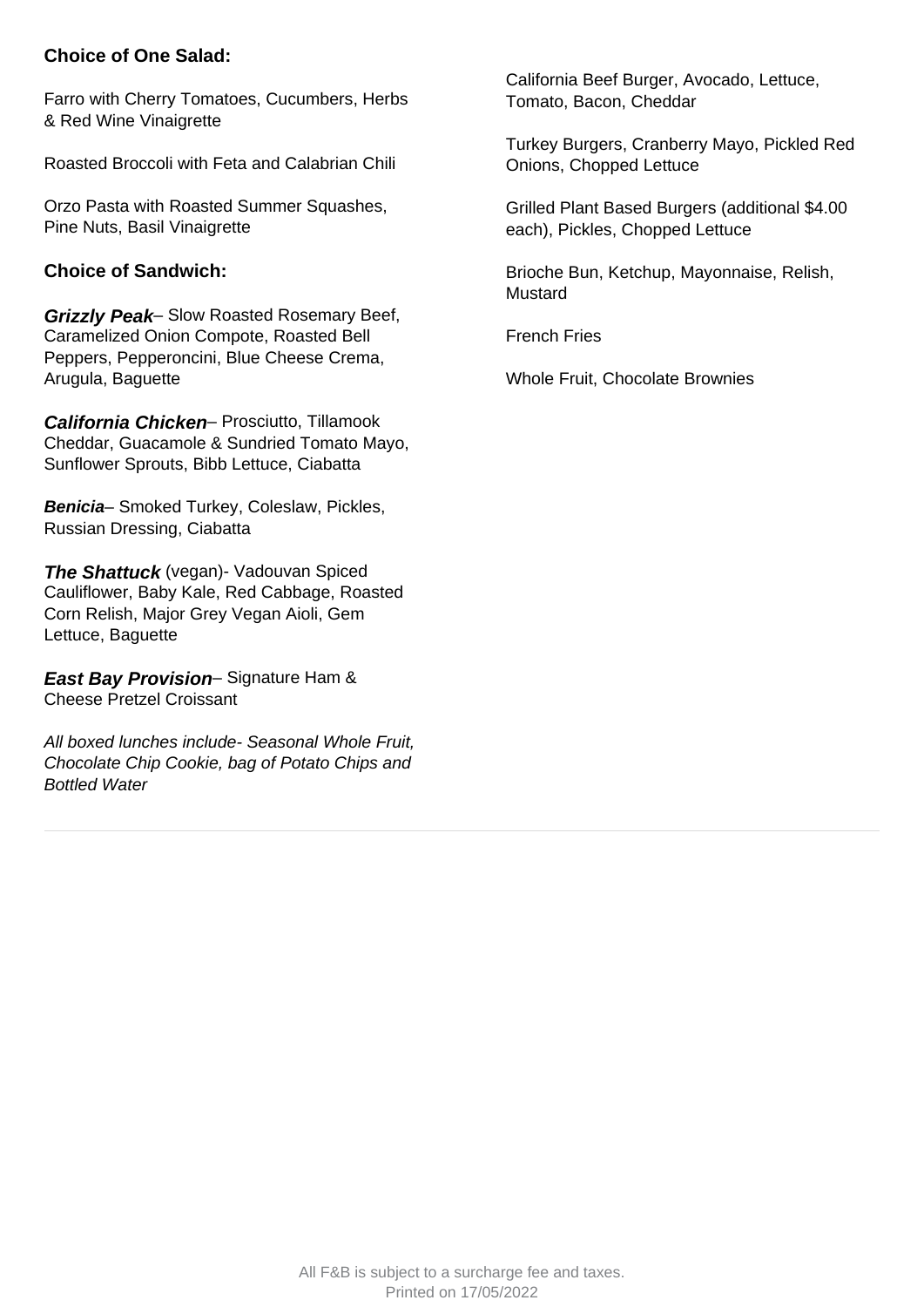#### **Choice of One Salad:**

Farro with Cherry Tomatoes, Cucumbers, Herbs & Red Wine Vinaigrette

Roasted Broccoli with Feta and Calabrian Chili

Orzo Pasta with Roasted Summer Squashes, Pine Nuts, Basil Vinaigrette

#### **Choice of Sandwich:**

**Grizzly Peak**– Slow Roasted Rosemary Beef, Caramelized Onion Compote, Roasted Bell Peppers, Pepperoncini, Blue Cheese Crema, Arugula, Baguette

**California Chicken**– Prosciutto, Tillamook Cheddar, Guacamole & Sundried Tomato Mayo, Sunflower Sprouts, Bibb Lettuce, Ciabatta

**Benicia**– Smoked Turkey, Coleslaw, Pickles, Russian Dressing, Ciabatta

**The Shattuck** (vegan)- Vadouvan Spiced Cauliflower, Baby Kale, Red Cabbage, Roasted Corn Relish, Major Grey Vegan Aioli, Gem Lettuce, Baguette

**East Bay Provision**– Signature Ham & Cheese Pretzel Croissant

All boxed lunches include- Seasonal Whole Fruit, Chocolate Chip Cookie, bag of Potato Chips and Bottled Water

California Beef Burger, Avocado, Lettuce, Tomato, Bacon, Cheddar

Turkey Burgers, Cranberry Mayo, Pickled Red Onions, Chopped Lettuce

Grilled Plant Based Burgers (additional \$4.00 each), Pickles, Chopped Lettuce

Brioche Bun, Ketchup, Mayonnaise, Relish, Mustard

French Fries

Whole Fruit, Chocolate Brownies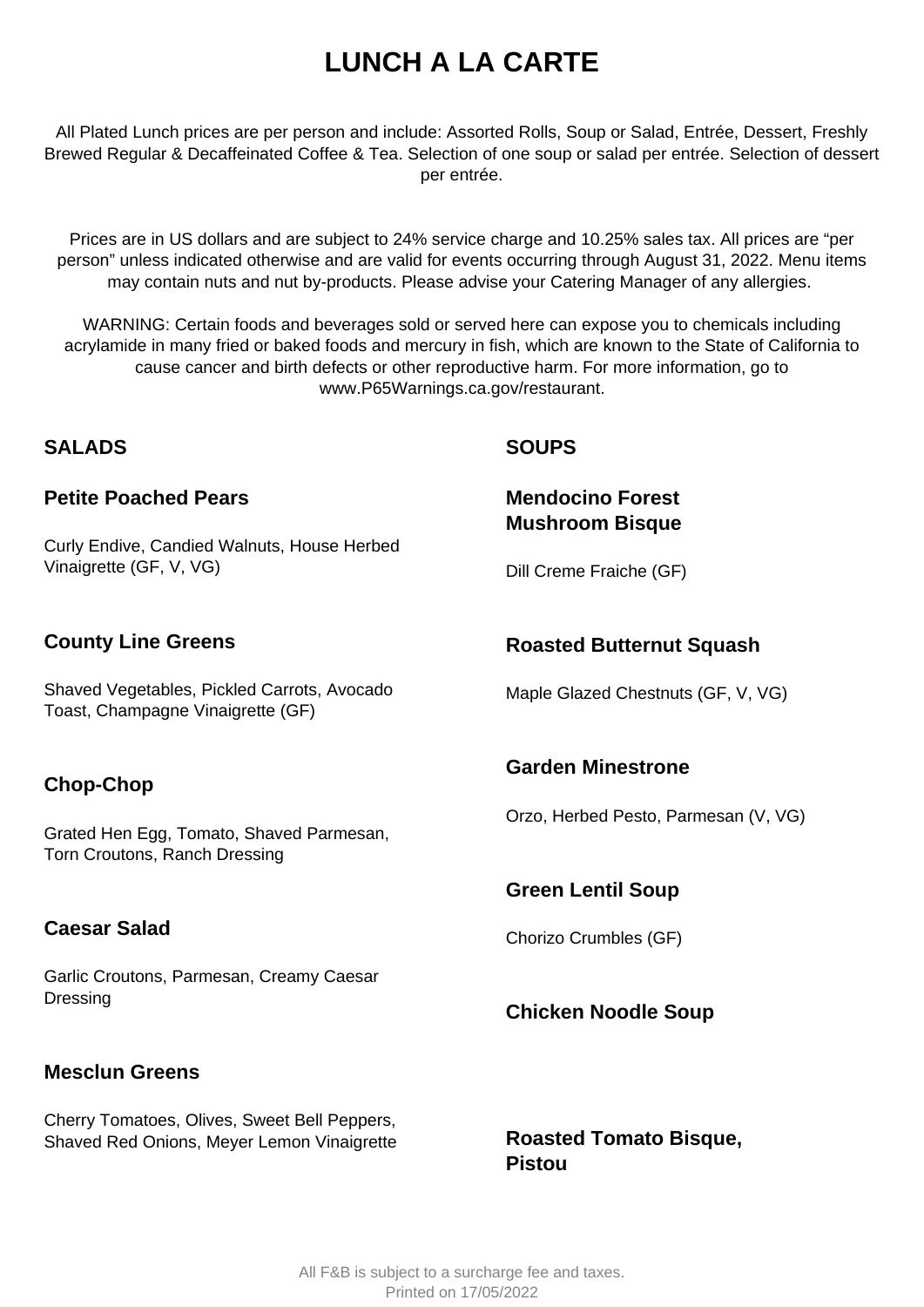# **LUNCH A LA CARTE**

All Plated Lunch prices are per person and include: Assorted Rolls, Soup or Salad, Entrée, Dessert, Freshly Brewed Regular & Decaffeinated Coffee & Tea. Selection of one soup or salad per entrée. Selection of dessert per entrée.

Prices are in US dollars and are subject to 24% service charge and 10.25% sales tax. All prices are "per person" unless indicated otherwise and are valid for events occurring through August 31, 2022. Menu items may contain nuts and nut by-products. Please advise your Catering Manager of any allergies.

WARNING: Certain foods and beverages sold or served here can expose you to chemicals including acrylamide in many fried or baked foods and mercury in fish, which are known to the State of California to cause cancer and birth defects or other reproductive harm. For more information, go to www.P65Warnings.ca.gov/restaurant.

### **SALADS**

### **Petite Poached Pears**

Curly Endive, Candied Walnuts, House Herbed Vinaigrette (GF, V, VG)

### **County Line Greens**

Shaved Vegetables, Pickled Carrots, Avocado Toast, Champagne Vinaigrette (GF)

### **Chop-Chop**

Grated Hen Egg, Tomato, Shaved Parmesan, Torn Croutons, Ranch Dressing

### **Caesar Salad**

Garlic Croutons, Parmesan, Creamy Caesar Dressing

### **Mesclun Greens**

Cherry Tomatoes, Olives, Sweet Bell Peppers, Shaved Red Onions, Meyer Lemon Vinaigrette

### **SOUPS**

**Mendocino Forest Mushroom Bisque**

Dill Creme Fraiche (GF)

### **Roasted Butternut Squash**

Maple Glazed Chestnuts (GF, V, VG)

### **Garden Minestrone**

Orzo, Herbed Pesto, Parmesan (V, VG)

### **Green Lentil Soup**

Chorizo Crumbles (GF)

### **Chicken Noodle Soup**

**Roasted Tomato Bisque, Pistou**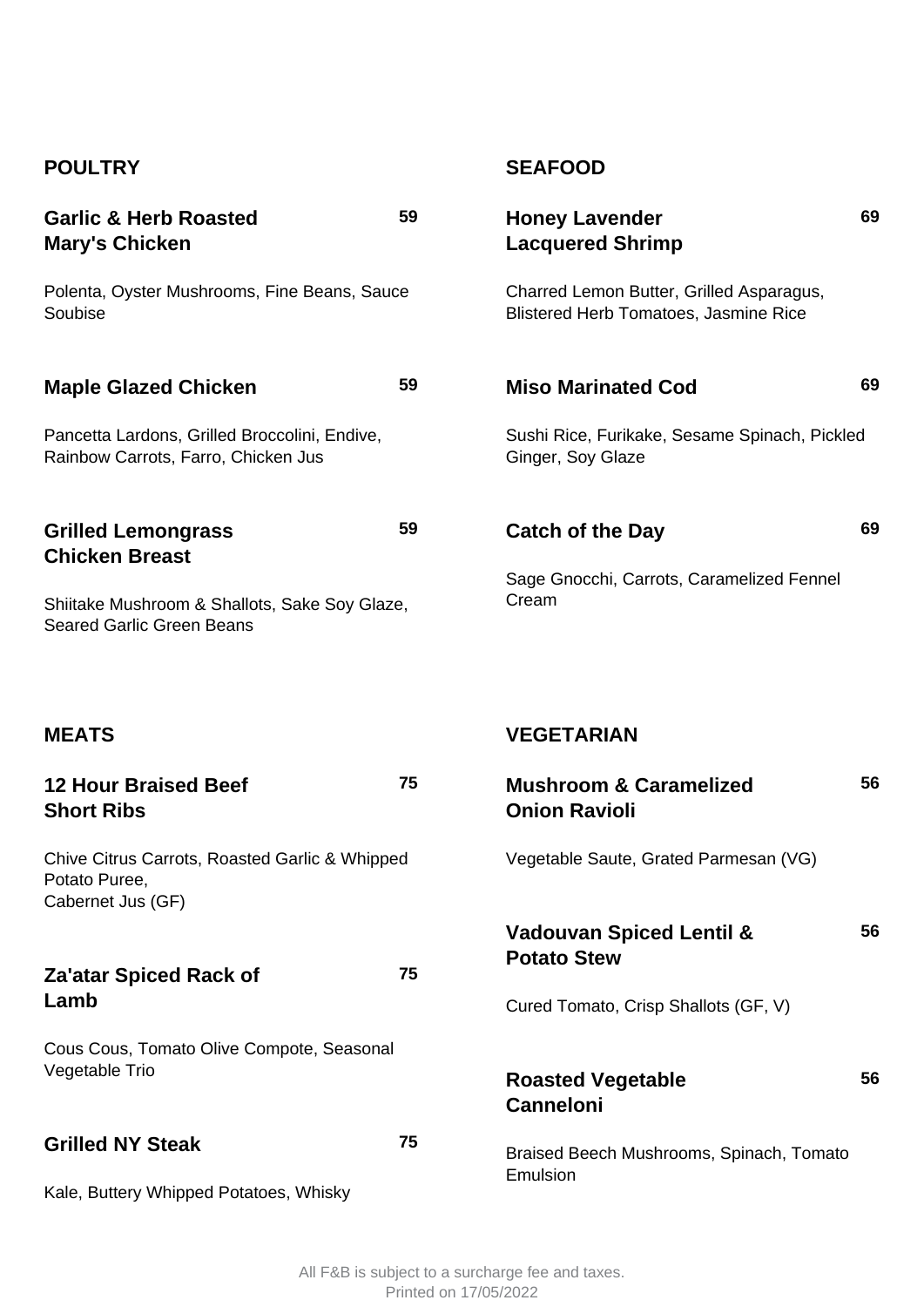### **POULTRY**

### **SEAFOOD**

| <b>Garlic &amp; Herb Roasted</b><br><b>Mary's Chicken</b>                            | 59 | <b>Honey Lavender</b><br><b>Lacquered Shrimp</b>                                         | 69 |
|--------------------------------------------------------------------------------------|----|------------------------------------------------------------------------------------------|----|
| Polenta, Oyster Mushrooms, Fine Beans, Sauce<br>Soubise                              |    | Charred Lemon Butter, Grilled Asparagus,<br><b>Blistered Herb Tomatoes, Jasmine Rice</b> |    |
| <b>Maple Glazed Chicken</b>                                                          | 59 | <b>Miso Marinated Cod</b>                                                                | 69 |
| Pancetta Lardons, Grilled Broccolini, Endive,<br>Rainbow Carrots, Farro, Chicken Jus |    | Sushi Rice, Furikake, Sesame Spinach, Pickled<br>Ginger, Soy Glaze                       |    |
| <b>Grilled Lemongrass</b><br><b>Chicken Breast</b>                                   | 59 | <b>Catch of the Day</b>                                                                  | 69 |
| Shiitake Mushroom & Shallots, Sake Soy Glaze,<br><b>Seared Garlic Green Beans</b>    |    | Sage Gnocchi, Carrots, Caramelized Fennel<br>Cream                                       |    |
|                                                                                      |    |                                                                                          |    |
| <b>MEATS</b>                                                                         |    | <b>VEGETARIAN</b>                                                                        |    |
| <b>12 Hour Braised Beef</b><br><b>Short Ribs</b>                                     | 75 | <b>Mushroom &amp; Caramelized</b><br><b>Onion Ravioli</b>                                | 56 |
| Chive Citrus Carrots, Roasted Garlic & Whipped<br>Potato Puree,<br>Cabernet Jus (GF) |    | Vegetable Saute, Grated Parmesan (VG)                                                    |    |
|                                                                                      |    | <b>Vadouvan Spiced Lentil &amp;</b><br><b>Potato Stew</b>                                | 56 |
| <b>Za'atar Spiced Rack of</b><br>Lamb                                                | 75 | Cured Tomato, Crisp Shallots (GF, V)                                                     |    |
| Cous Cous, Tomato Olive Compote, Seasonal<br>Vegetable Trio                          |    | <b>Roasted Vegetable</b><br><b>Canneloni</b>                                             | 56 |
| <b>Grilled NY Steak</b>                                                              | 75 | Braised Beech Mushrooms, Spinach, Tomato<br>Emulsion                                     |    |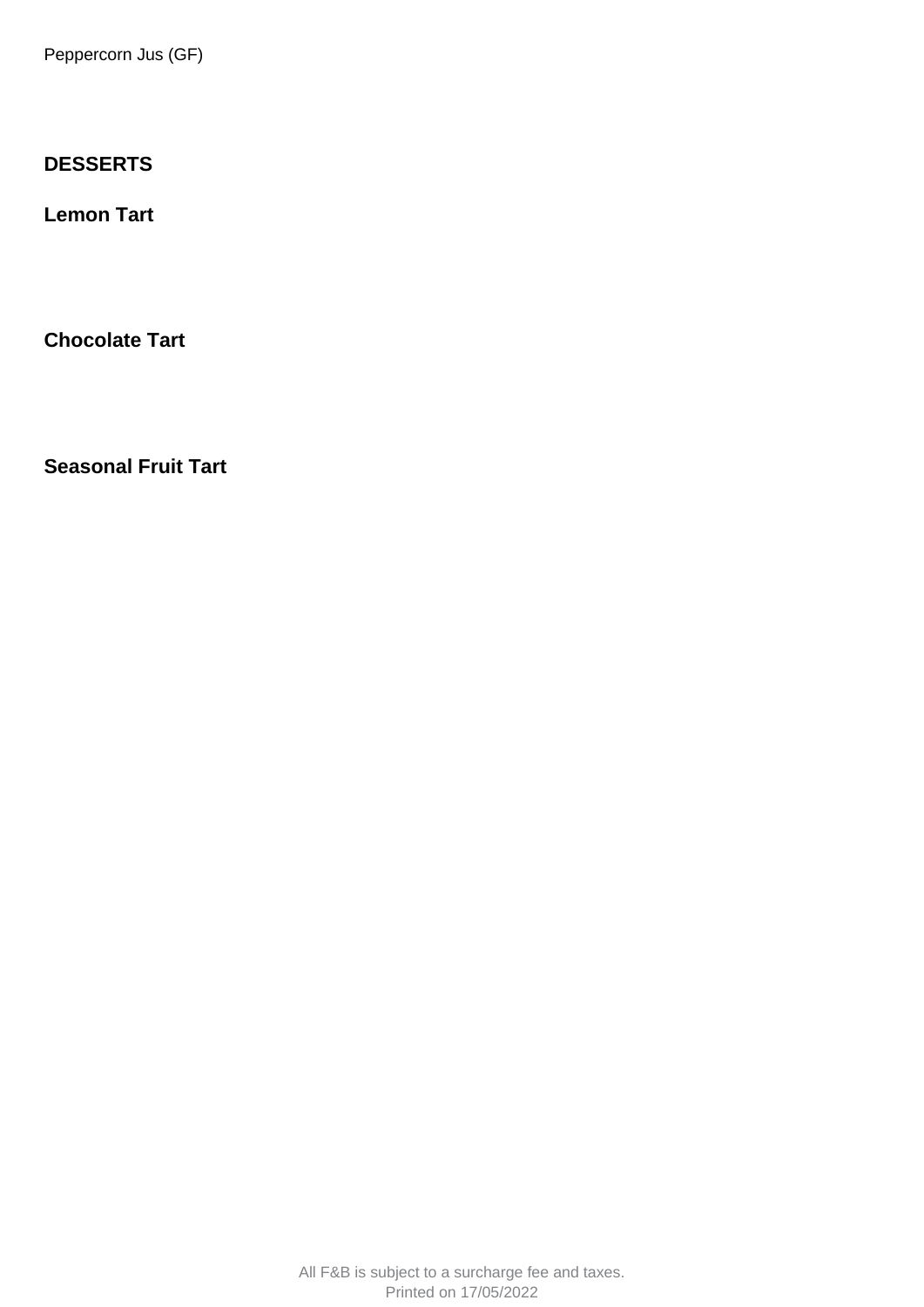Peppercorn Jus (GF)

### **DESSERTS**

**Lemon Tart**

**Chocolate Tart**

**Seasonal Fruit Tart**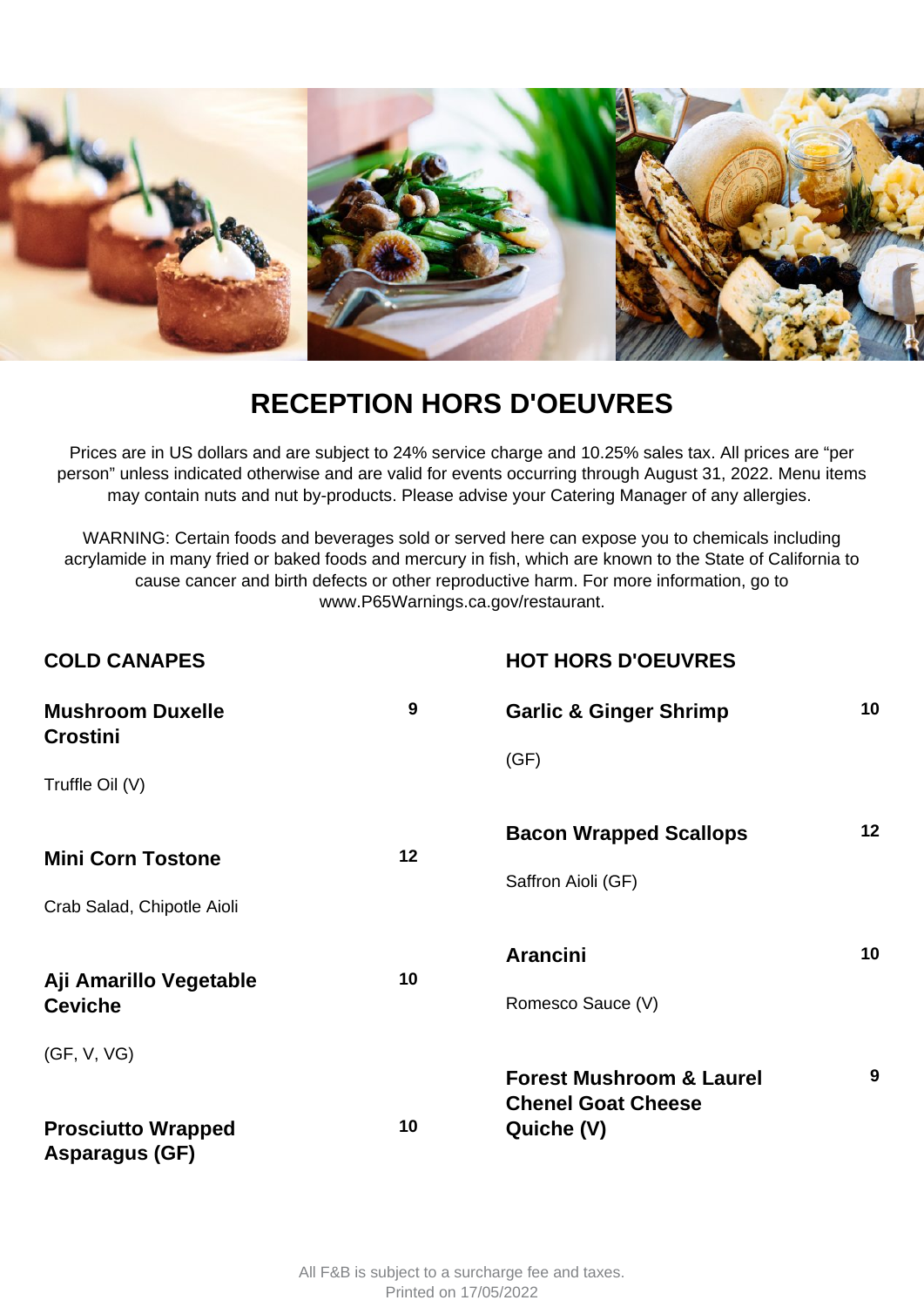

### **RECEPTION HORS D'OEUVRES**

Prices are in US dollars and are subject to 24% service charge and 10.25% sales tax. All prices are "per person" unless indicated otherwise and are valid for events occurring through August 31, 2022. Menu items may contain nuts and nut by-products. Please advise your Catering Manager of any allergies.

| <b>COLD CANAPES</b>                                |    | <b>HOT HORS D'OEUVRES</b>                                        |                 |
|----------------------------------------------------|----|------------------------------------------------------------------|-----------------|
| <b>Mushroom Duxelle</b><br><b>Crostini</b>         | 9  | <b>Garlic &amp; Ginger Shrimp</b>                                | 10 <sup>1</sup> |
| Truffle Oil (V)                                    |    | (GF)                                                             |                 |
| <b>Mini Corn Tostone</b>                           | 12 | <b>Bacon Wrapped Scallops</b>                                    | 12 <sup>2</sup> |
| Crab Salad, Chipotle Aioli                         |    | Saffron Aioli (GF)                                               |                 |
|                                                    |    | <b>Arancini</b>                                                  | 10 <sub>1</sub> |
| Aji Amarillo Vegetable<br><b>Ceviche</b>           | 10 | Romesco Sauce (V)                                                |                 |
| (GF, V, VG)                                        |    |                                                                  |                 |
|                                                    |    | <b>Forest Mushroom &amp; Laurel</b><br><b>Chenel Goat Cheese</b> | 9               |
| <b>Prosciutto Wrapped</b><br><b>Asparagus (GF)</b> | 10 | Quiche (V)                                                       |                 |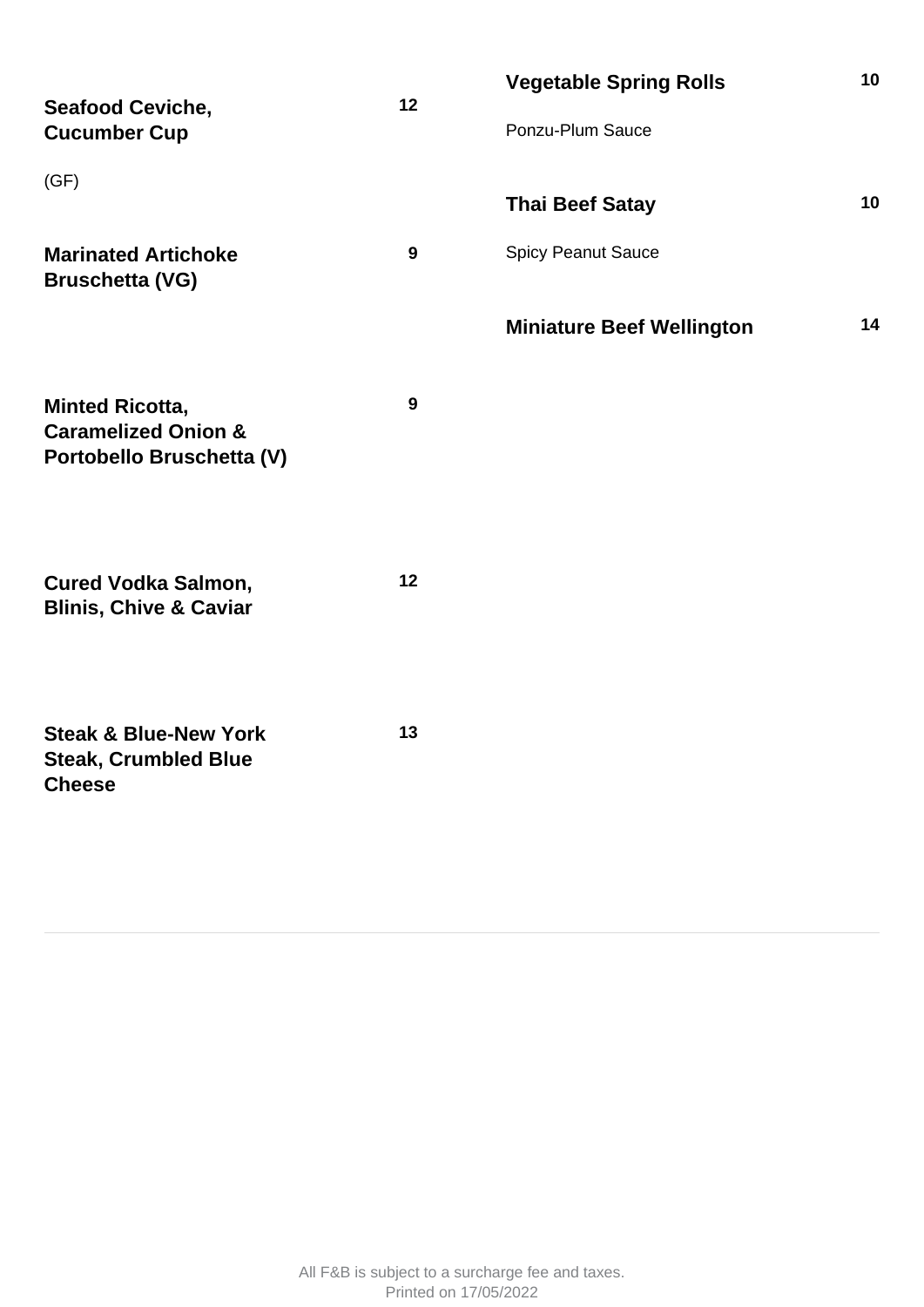| <b>Seafood Ceviche,</b><br><b>Cucumber Cup</b>                                        | 12 | <b>Vegetable Spring Rolls</b><br>Ponzu-Plum Sauce | 10 |
|---------------------------------------------------------------------------------------|----|---------------------------------------------------|----|
| (GF)                                                                                  |    | <b>Thai Beef Satay</b>                            | 10 |
| <b>Marinated Artichoke</b><br><b>Bruschetta (VG)</b>                                  | 9  | <b>Spicy Peanut Sauce</b>                         |    |
|                                                                                       |    | <b>Miniature Beef Wellington</b>                  | 14 |
| <b>Minted Ricotta,</b><br><b>Caramelized Onion &amp;</b><br>Portobello Bruschetta (V) | 9  |                                                   |    |
| <b>Cured Vodka Salmon,</b><br><b>Blinis, Chive &amp; Caviar</b>                       | 12 |                                                   |    |
| <b>Steak &amp; Blue-New York</b><br><b>Steak, Crumbled Blue</b><br><b>Cheese</b>      | 13 |                                                   |    |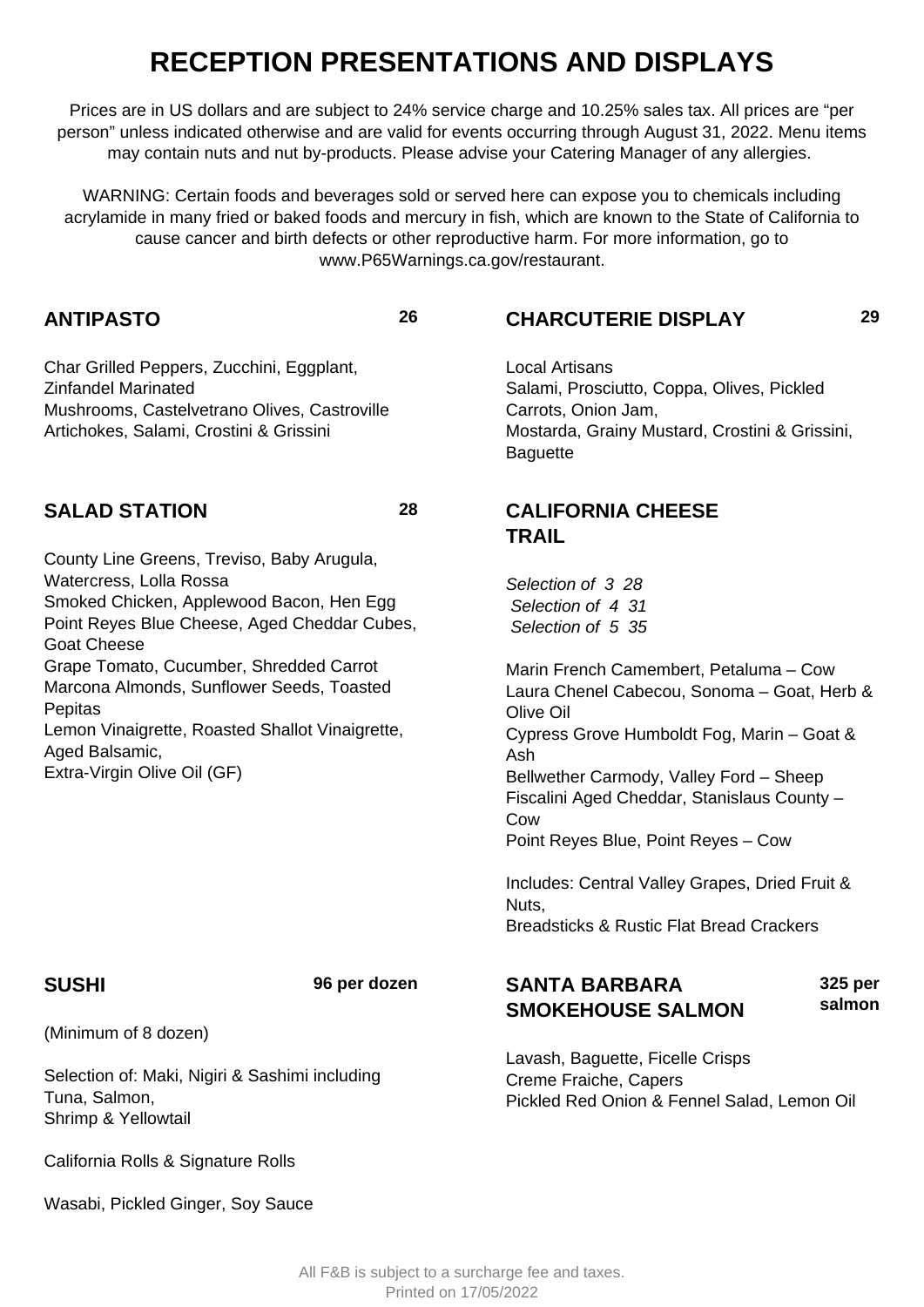### **RECEPTION PRESENTATIONS AND DISPLAYS**

Prices are in US dollars and are subject to 24% service charge and 10.25% sales tax. All prices are "per person" unless indicated otherwise and are valid for events occurring through August 31, 2022. Menu items may contain nuts and nut by-products. Please advise your Catering Manager of any allergies.

WARNING: Certain foods and beverages sold or served here can expose you to chemicals including acrylamide in many fried or baked foods and mercury in fish, which are known to the State of California to cause cancer and birth defects or other reproductive harm. For more information, go to www.P65Warnings.ca.gov/restaurant.

| <b>ANTIPASTO</b>                                                                                                                                                                                                                                                                                                                                                                               | 26           | <b>CHARCUTERIE DISPLAY</b>                                                                                                                                                                                                                                                                                                                                                                                                                                                       | 29                |
|------------------------------------------------------------------------------------------------------------------------------------------------------------------------------------------------------------------------------------------------------------------------------------------------------------------------------------------------------------------------------------------------|--------------|----------------------------------------------------------------------------------------------------------------------------------------------------------------------------------------------------------------------------------------------------------------------------------------------------------------------------------------------------------------------------------------------------------------------------------------------------------------------------------|-------------------|
| Char Grilled Peppers, Zucchini, Eggplant,<br><b>Zinfandel Marinated</b><br>Mushrooms, Castelvetrano Olives, Castroville<br>Artichokes, Salami, Crostini & Grissini                                                                                                                                                                                                                             |              | <b>Local Artisans</b><br>Salami, Prosciutto, Coppa, Olives, Pickled<br>Carrots, Onion Jam,<br>Mostarda, Grainy Mustard, Crostini & Grissini,<br><b>Baguette</b>                                                                                                                                                                                                                                                                                                                  |                   |
| <b>SALAD STATION</b>                                                                                                                                                                                                                                                                                                                                                                           | 28           | <b>CALIFORNIA CHEESE</b><br><b>TRAIL</b>                                                                                                                                                                                                                                                                                                                                                                                                                                         |                   |
| County Line Greens, Treviso, Baby Arugula,<br>Watercress, Lolla Rossa<br>Smoked Chicken, Applewood Bacon, Hen Egg<br>Point Reyes Blue Cheese, Aged Cheddar Cubes,<br><b>Goat Cheese</b><br>Grape Tomato, Cucumber, Shredded Carrot<br>Marcona Almonds, Sunflower Seeds, Toasted<br>Pepitas<br>Lemon Vinaigrette, Roasted Shallot Vinaigrette,<br>Aged Balsamic,<br>Extra-Virgin Olive Oil (GF) |              | Selection of 3 28<br>Selection of 4 31<br>Selection of 5 35<br>Marin French Camembert, Petaluma - Cow<br>Laura Chenel Cabecou, Sonoma - Goat, Herb &<br>Olive Oil<br>Cypress Grove Humboldt Fog, Marin - Goat &<br>Ash<br>Bellwether Carmody, Valley Ford - Sheep<br>Fiscalini Aged Cheddar, Stanislaus County -<br>Cow<br>Point Reyes Blue, Point Reyes - Cow<br>Includes: Central Valley Grapes, Dried Fruit &<br>Nuts,<br><b>Breadsticks &amp; Rustic Flat Bread Crackers</b> |                   |
| <b>SUSHI</b>                                                                                                                                                                                                                                                                                                                                                                                   | 96 per dozen | <b>SANTA BARBARA</b><br><b>SMOKEHOUSE SALMON</b>                                                                                                                                                                                                                                                                                                                                                                                                                                 | 325 per<br>salmon |
| (Minimum of 8 dozen)                                                                                                                                                                                                                                                                                                                                                                           |              |                                                                                                                                                                                                                                                                                                                                                                                                                                                                                  |                   |
| Selection of: Maki, Nigiri & Sashimi including<br>Tuna, Salmon,<br>Shrimp & Yellowtail                                                                                                                                                                                                                                                                                                         |              | Lavash, Baguette, Ficelle Crisps<br>Creme Fraiche, Capers<br>Pickled Red Onion & Fennel Salad, Lemon Oil                                                                                                                                                                                                                                                                                                                                                                         |                   |

California Rolls & Signature Rolls

Wasabi, Pickled Ginger, Soy Sauce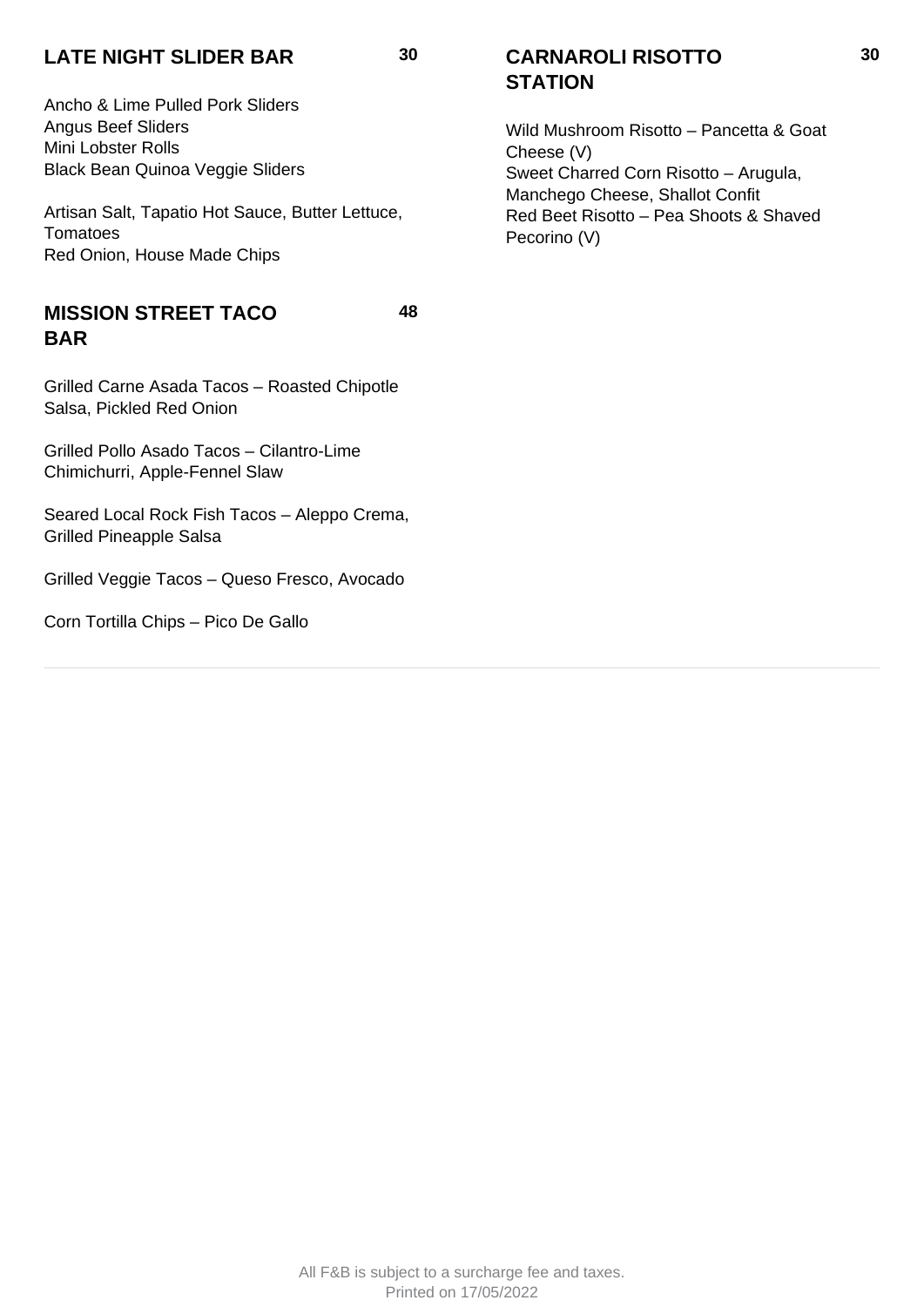### **LATE NIGHT SLIDER BAR 30**

Ancho & Lime Pulled Pork Sliders Angus Beef Sliders Mini Lobster Rolls Black Bean Quinoa Veggie Sliders

Artisan Salt, Tapatio Hot Sauce, Butter Lettuce, **Tomatoes** Red Onion, House Made Chips

### **MISSION STREET TACO BAR**

**48**

Grilled Carne Asada Tacos – Roasted Chipotle Salsa, Pickled Red Onion

Grilled Pollo Asado Tacos – Cilantro-Lime Chimichurri, Apple-Fennel Slaw

Seared Local Rock Fish Tacos – Aleppo Crema, Grilled Pineapple Salsa

Grilled Veggie Tacos – Queso Fresco, Avocado

Corn Tortilla Chips – Pico De Gallo

### **CARNAROLI RISOTTO STATION**

Wild Mushroom Risotto – Pancetta & Goat Cheese (V) Sweet Charred Corn Risotto – Arugula, Manchego Cheese, Shallot Confit Red Beet Risotto – Pea Shoots & Shaved Pecorino (V)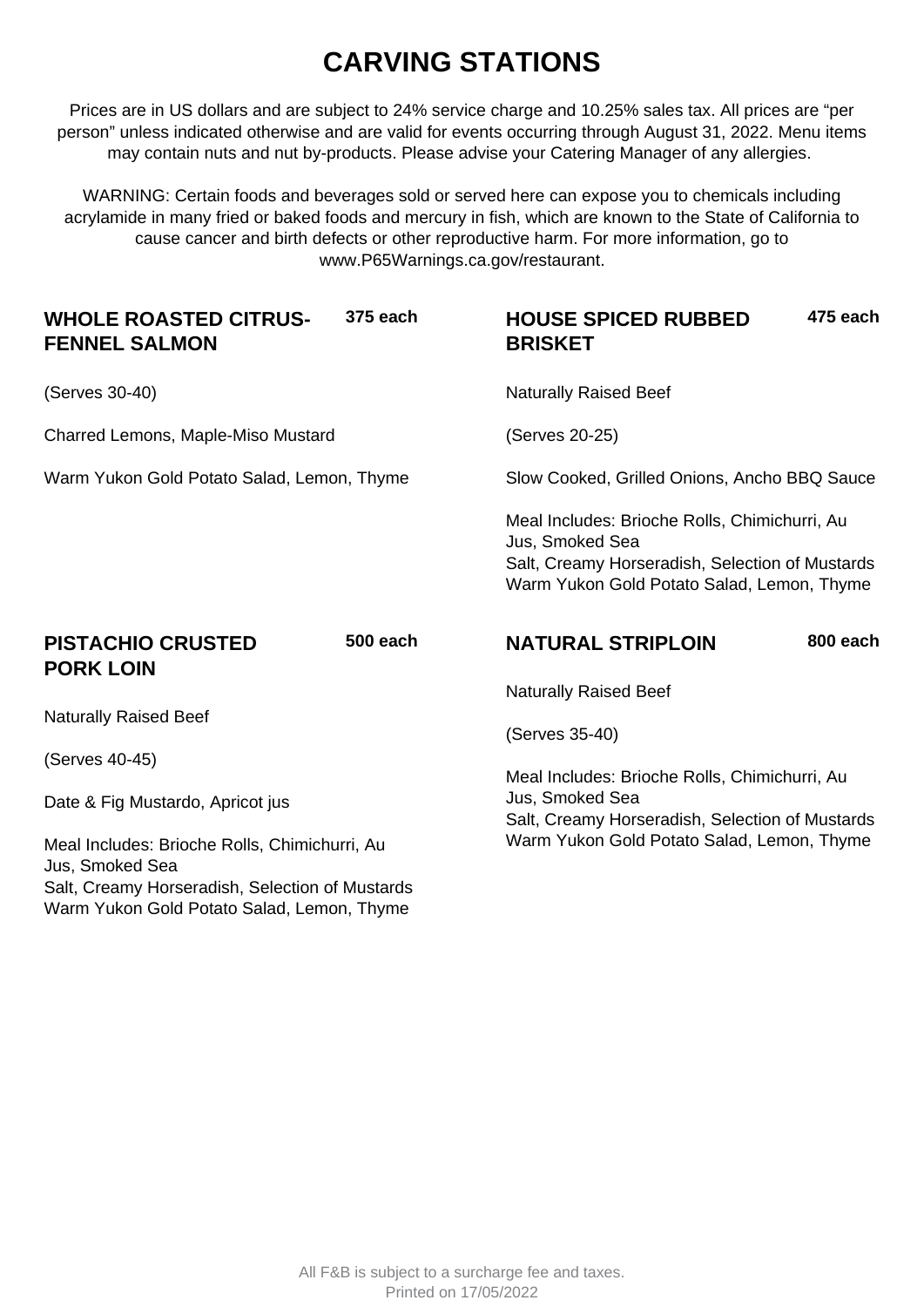# **CARVING STATIONS**

Prices are in US dollars and are subject to 24% service charge and 10.25% sales tax. All prices are "per person" unless indicated otherwise and are valid for events occurring through August 31, 2022. Menu items may contain nuts and nut by-products. Please advise your Catering Manager of any allergies.

WARNING: Certain foods and beverages sold or served here can expose you to chemicals including acrylamide in many fried or baked foods and mercury in fish, which are known to the State of California to cause cancer and birth defects or other reproductive harm. For more information, go to www.P65Warnings.ca.gov/restaurant.

| <b>WHOLE ROASTED CITRUS-</b><br><b>FENNEL SALMON</b>             | <b>375 each</b> | <b>HOUSE SPICED RUBBED</b><br><b>BRISKET</b>                                                                                                                      | 475 each |
|------------------------------------------------------------------|-----------------|-------------------------------------------------------------------------------------------------------------------------------------------------------------------|----------|
| (Serves 30-40)                                                   |                 | <b>Naturally Raised Beef</b>                                                                                                                                      |          |
| Charred Lemons, Maple-Miso Mustard                               |                 | (Serves 20-25)                                                                                                                                                    |          |
| Warm Yukon Gold Potato Salad, Lemon, Thyme                       |                 | Slow Cooked, Grilled Onions, Ancho BBQ Sauce                                                                                                                      |          |
|                                                                  |                 | Meal Includes: Brioche Rolls, Chimichurri, Au<br>Jus, Smoked Sea<br>Salt, Creamy Horseradish, Selection of Mustards<br>Warm Yukon Gold Potato Salad, Lemon, Thyme |          |
| <b>PISTACHIO CRUSTED</b><br><b>PORK LOIN</b>                     | 500 each        | <b>NATURAL STRIPLOIN</b><br><b>Naturally Raised Beef</b>                                                                                                          | 800 each |
| <b>Naturally Raised Beef</b>                                     |                 | (Serves 35-40)                                                                                                                                                    |          |
| (Serves 40-45)                                                   |                 |                                                                                                                                                                   |          |
| Date & Fig Mustardo, Apricot jus                                 |                 | Meal Includes: Brioche Rolls, Chimichurri, Au<br>Jus, Smoked Sea<br>Salt, Creamy Horseradish, Selection of Mustards                                               |          |
| Meal Includes: Brioche Rolls, Chimichurri, Au<br>Jus, Smoked Sea |                 | Warm Yukon Gold Potato Salad, Lemon, Thyme                                                                                                                        |          |

Salt, Creamy Horseradish, Selection of Mustards Warm Yukon Gold Potato Salad, Lemon, Thyme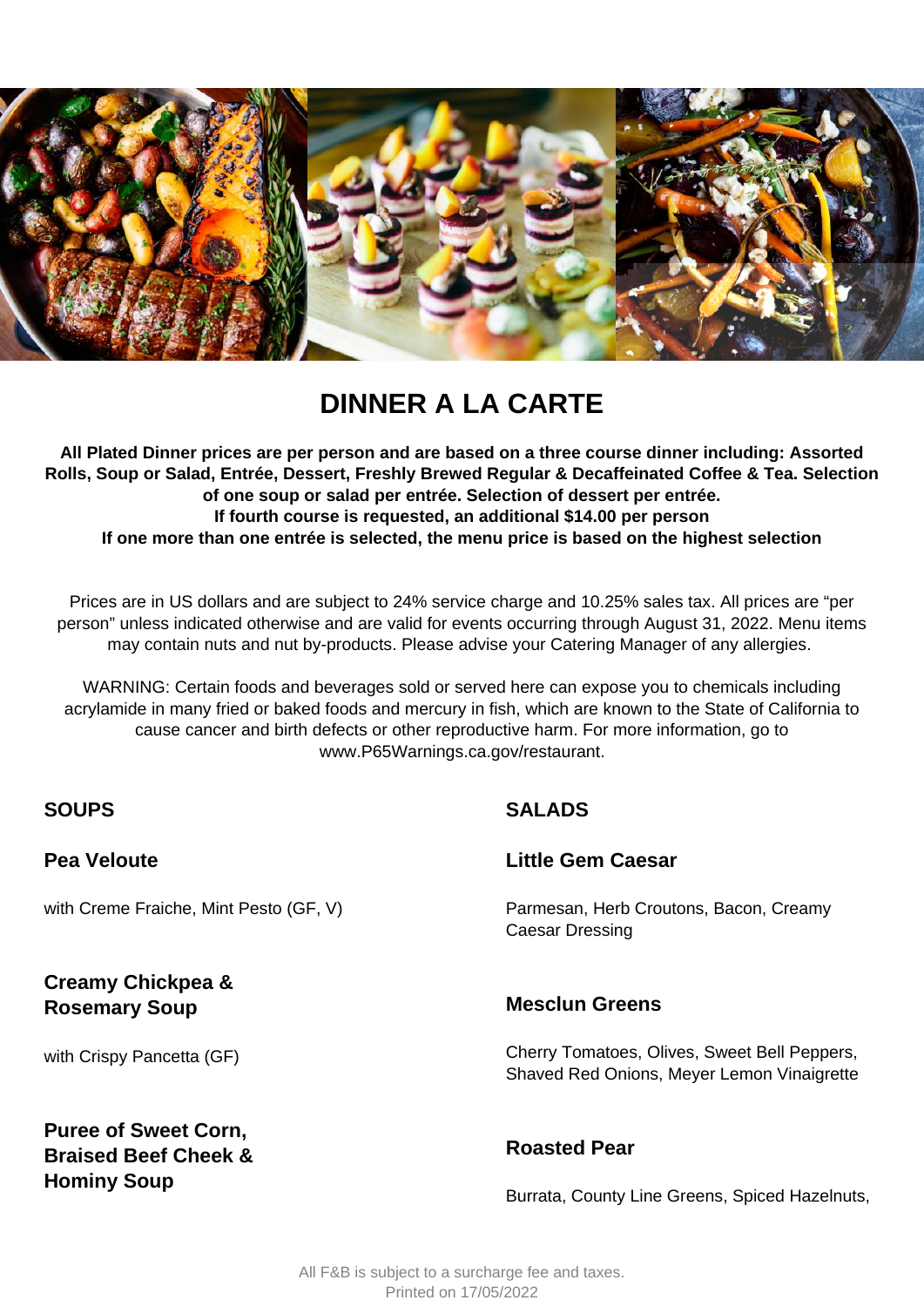

### **DINNER A LA CARTE**

**All Plated Dinner prices are per person and are based on a three course dinner including: Assorted Rolls, Soup or Salad, Entrée, Dessert, Freshly Brewed Regular & Decaffeinated Coffee & Tea. Selection of one soup or salad per entrée. Selection of dessert per entrée. If fourth course is requested, an additional \$14.00 per person If one more than one entrée is selected, the menu price is based on the highest selection**

Prices are in US dollars and are subject to 24% service charge and 10.25% sales tax. All prices are "per person" unless indicated otherwise and are valid for events occurring through August 31, 2022. Menu items may contain nuts and nut by-products. Please advise your Catering Manager of any allergies.

WARNING: Certain foods and beverages sold or served here can expose you to chemicals including acrylamide in many fried or baked foods and mercury in fish, which are known to the State of California to cause cancer and birth defects or other reproductive harm. For more information, go to www.P65Warnings.ca.gov/restaurant.

### **SOUPS**

### **Pea Veloute**

with Creme Fraiche, Mint Pesto (GF, V)

### **Creamy Chickpea & Rosemary Soup**

with Crispy Pancetta (GF)

### **Puree of Sweet Corn, Braised Beef Cheek & Hominy Soup**

### **SALADS**

#### **Little Gem Caesar**

Parmesan, Herb Croutons, Bacon, Creamy Caesar Dressing

#### **Mesclun Greens**

Cherry Tomatoes, Olives, Sweet Bell Peppers, Shaved Red Onions, Meyer Lemon Vinaigrette

### **Roasted Pear**

Burrata, County Line Greens, Spiced Hazelnuts,

All F&B is subject to a surcharge fee and taxes. Printed on 17/05/2022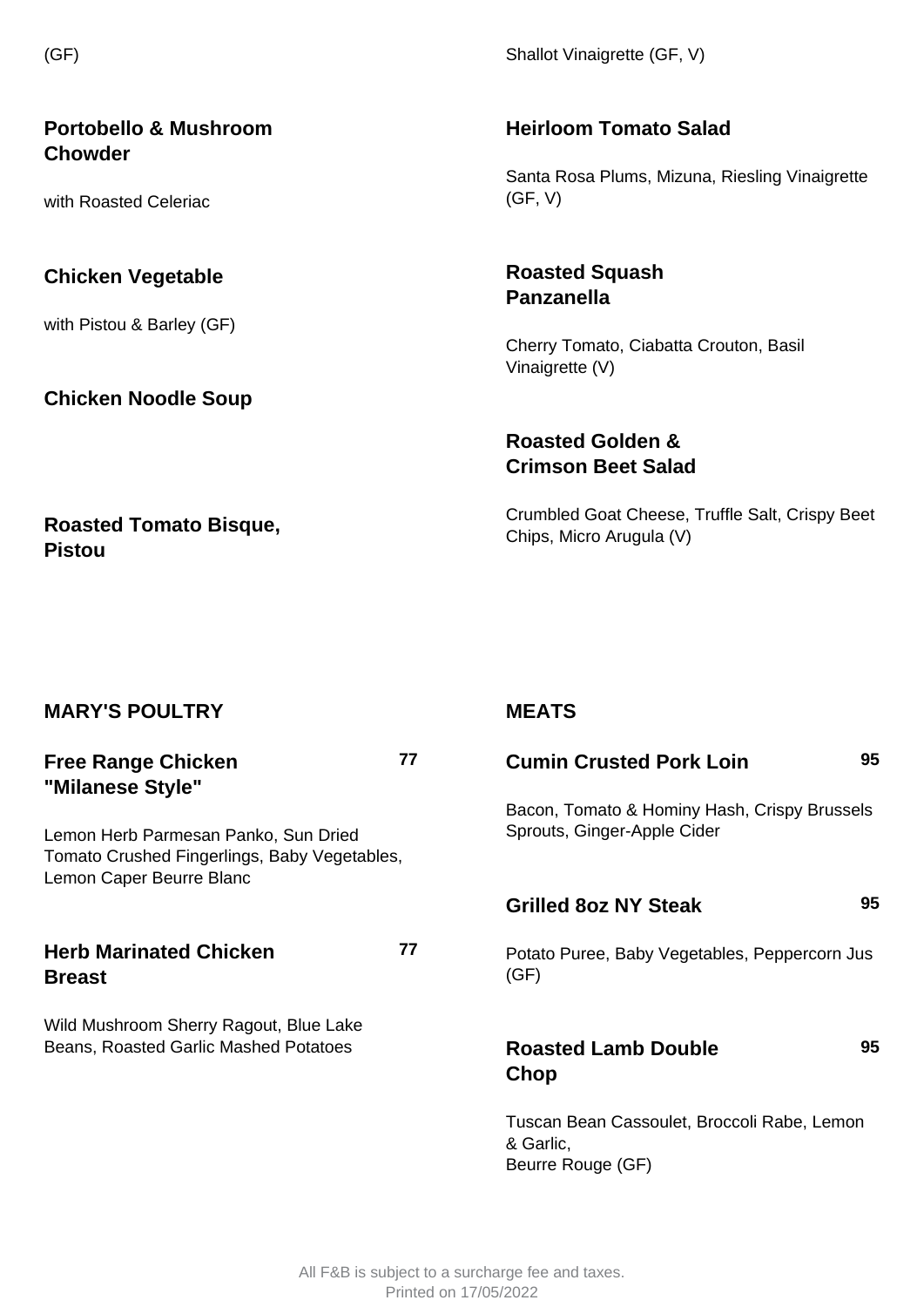Shallot Vinaigrette (GF, V)

### **Portobello & Mushroom Chowder**

with Roasted Celeriac

### **Chicken Vegetable**

with Pistou & Barley (GF)

### **Chicken Noodle Soup**

### **Heirloom Tomato Salad**

Santa Rosa Plums, Mizuna, Riesling Vinaigrette (GF, V)

### **Roasted Squash Panzanella**

Cherry Tomato, Ciabatta Crouton, Basil Vinaigrette (V)

### **Roasted Golden & Crimson Beet Salad**

Crumbled Goat Cheese, Truffle Salt, Crispy Beet Chips, Micro Arugula (V)

### **Roasted Tomato Bisque, Pistou**

### **MARY'S POULTRY**

### **Free Range Chicken "Milanese Style"**

Lemon Herb Parmesan Panko, Sun Dried Tomato Crushed Fingerlings, Baby Vegetables, Lemon Caper Beurre Blanc

### **Herb Marinated Chicken Breast**

Wild Mushroom Sherry Ragout, Blue Lake Beans, Roasted Garlic Mashed Potatoes

### **MEATS**

| 77 | <b>Cumin Crusted Pork Loin</b>                                              | 95 |
|----|-----------------------------------------------------------------------------|----|
|    | Bacon, Tomato & Hominy Hash, Crispy Brussels<br>Sprouts, Ginger-Apple Cider |    |
| ,  |                                                                             |    |
|    | <b>Grilled 8oz NY Steak</b>                                                 | 95 |
| 77 | Potato Puree, Baby Vegetables, Peppercorn Jus<br>(GF)                       |    |
|    | <b>Roasted Lamb Double</b><br><b>Chop</b>                                   | 95 |

Tuscan Bean Cassoulet, Broccoli Rabe, Lemon & Garlic, Beurre Rouge (GF)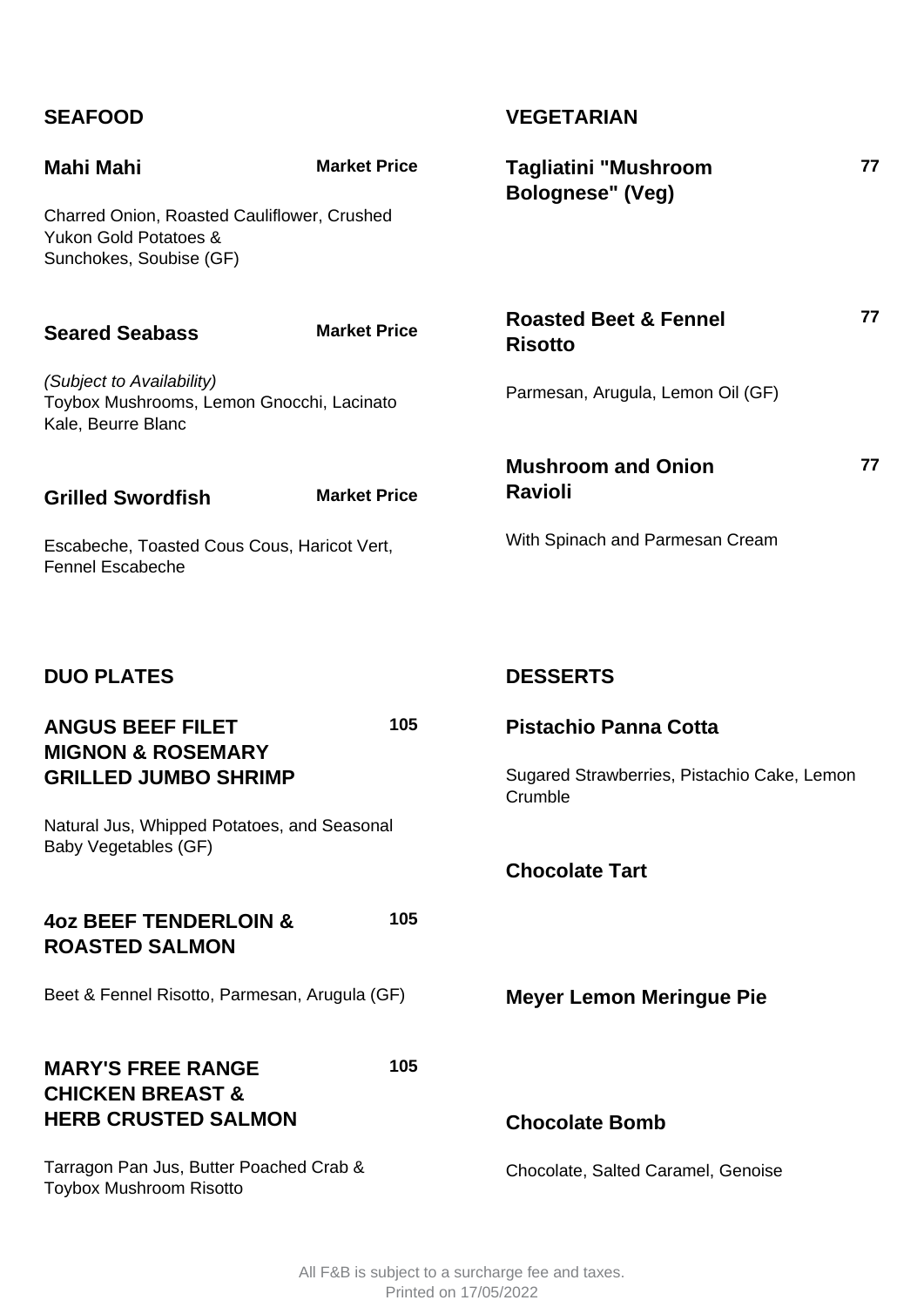### **SEAFOOD**

#### **VEGETARIAN**

| <b>Mahi Mahi</b><br>Charred Onion, Roasted Cauliflower, Crushed<br>Yukon Gold Potatoes &<br>Sunchokes, Soubise (GF) | <b>Market Price</b> | <b>Tagliatini "Mushroom</b><br><b>Bolognese" (Veg)</b>                                 | 77 |
|---------------------------------------------------------------------------------------------------------------------|---------------------|----------------------------------------------------------------------------------------|----|
| <b>Seared Seabass</b>                                                                                               | <b>Market Price</b> | <b>Roasted Beet &amp; Fennel</b><br><b>Risotto</b>                                     | 77 |
| (Subject to Availability)<br>Toybox Mushrooms, Lemon Gnocchi, Lacinato<br>Kale, Beurre Blanc                        |                     | Parmesan, Arugula, Lemon Oil (GF)                                                      |    |
| <b>Grilled Swordfish</b>                                                                                            | <b>Market Price</b> | <b>Mushroom and Onion</b><br><b>Ravioli</b>                                            | 77 |
| Escabeche, Toasted Cous Cous, Haricot Vert,<br><b>Fennel Escabeche</b>                                              |                     | With Spinach and Parmesan Cream                                                        |    |
| <b>DUO PLATES</b>                                                                                                   |                     | <b>DESSERTS</b>                                                                        |    |
| <b>ANGUS BEEF FILET</b><br><b>MIGNON &amp; ROSEMARY</b><br><b>GRILLED JUMBO SHRIMP</b>                              | 105                 | <b>Pistachio Panna Cotta</b><br>Sugared Strawberries, Pistachio Cake, Lemon<br>Crumble |    |
| Natural Jus, Whipped Potatoes, and Seasonal<br>Baby Vegetables (GF)                                                 |                     | <b>Chocolate Tart</b>                                                                  |    |
| <b>4oz BEEF TENDERLOIN &amp;</b><br><b>ROASTED SALMON</b>                                                           | 105                 |                                                                                        |    |

Beet & Fennel Risotto, Parmesan, Arugula (GF)

**MARY'S FREE RANGE CHICKEN BREAST & HERB CRUSTED SALMON**

Tarragon Pan Jus, Butter Poached Crab & Toybox Mushroom Risotto

**Meyer Lemon Meringue Pie**

**Chocolate Bomb**

Chocolate, Salted Caramel, Genoise

**105**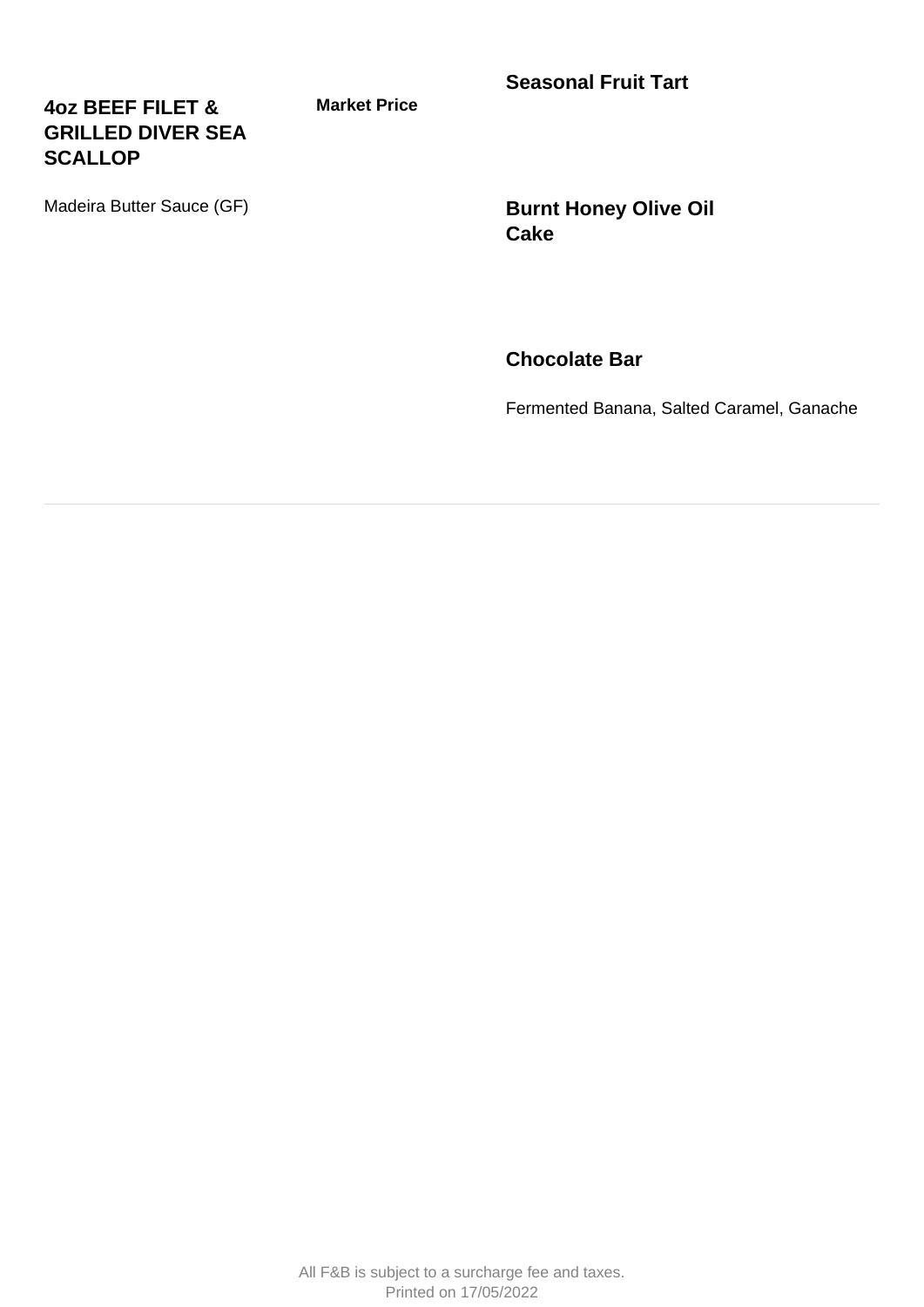**Market Price**

**Seasonal Fruit Tart**

### **4oz BEEF FILET & GRILLED DIVER SEA SCALLOP**

Madeira Butter Sauce (GF)

**Burnt Honey Olive Oil Cake**

**Chocolate Bar**

Fermented Banana, Salted Caramel, Ganache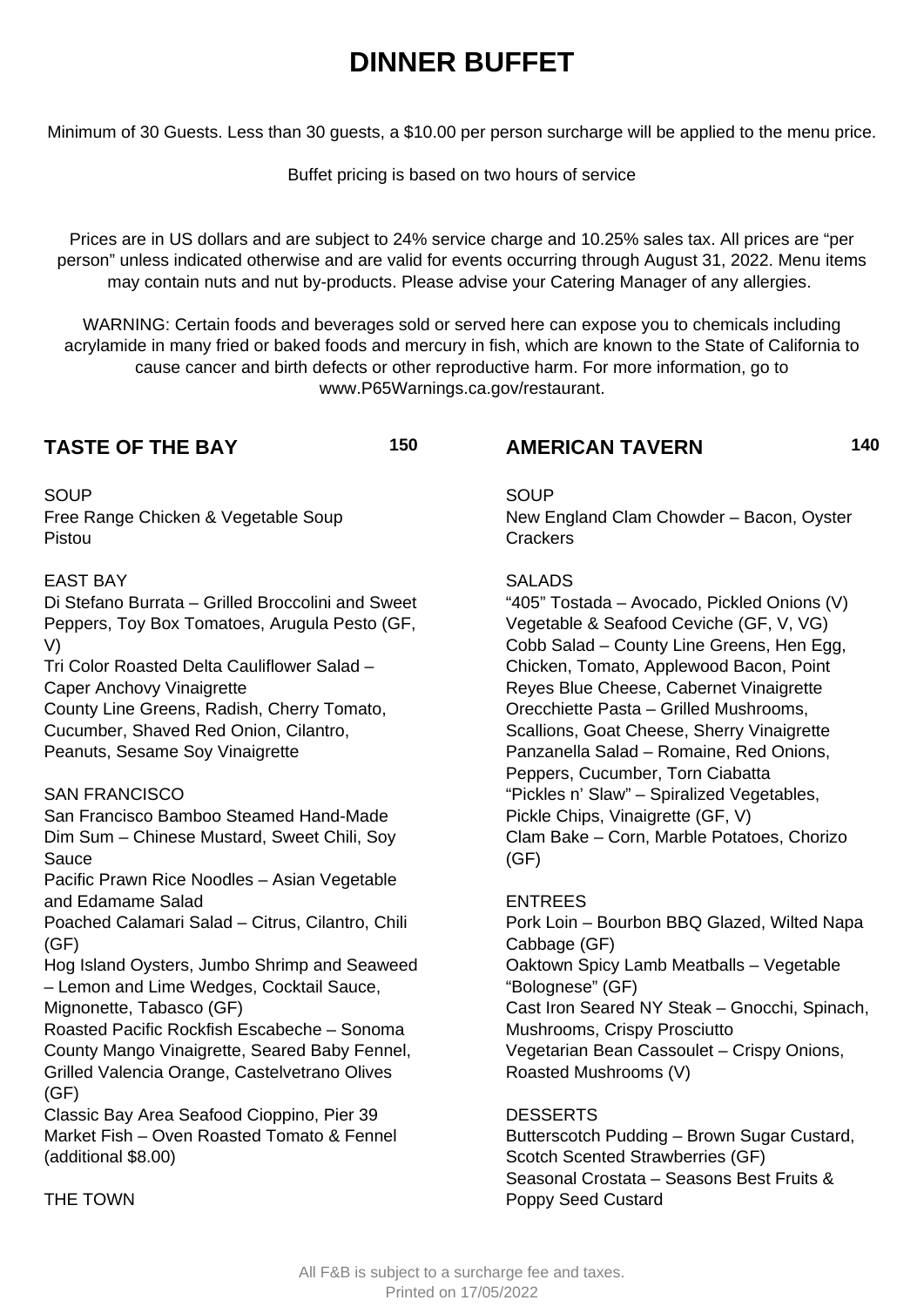### **DINNER BUFFET**

Minimum of 30 Guests. Less than 30 guests, a \$10.00 per person surcharge will be applied to the menu price.

Buffet pricing is based on two hours of service

Prices are in US dollars and are subject to 24% service charge and 10.25% sales tax. All prices are "per person" unless indicated otherwise and are valid for events occurring through August 31, 2022. Menu items may contain nuts and nut by-products. Please advise your Catering Manager of any allergies.

WARNING: Certain foods and beverages sold or served here can expose you to chemicals including acrylamide in many fried or baked foods and mercury in fish, which are known to the State of California to cause cancer and birth defects or other reproductive harm. For more information, go to www.P65Warnings.ca.gov/restaurant.

| <b>TASTE OF THE BAY</b>                                                                                                                                                                                                                                                                                                                                                                                                                                            | 150 | <b>AMERICAN TAVERN</b>                                                                                                                                                                                                                                                                                                                                                                                                                                                                                                                                     | 140 |
|--------------------------------------------------------------------------------------------------------------------------------------------------------------------------------------------------------------------------------------------------------------------------------------------------------------------------------------------------------------------------------------------------------------------------------------------------------------------|-----|------------------------------------------------------------------------------------------------------------------------------------------------------------------------------------------------------------------------------------------------------------------------------------------------------------------------------------------------------------------------------------------------------------------------------------------------------------------------------------------------------------------------------------------------------------|-----|
| <b>SOUP</b><br>Free Range Chicken & Vegetable Soup<br>Pistou                                                                                                                                                                                                                                                                                                                                                                                                       |     | <b>SOUP</b><br>New England Clam Chowder - Bacon, Oyster<br>Crackers                                                                                                                                                                                                                                                                                                                                                                                                                                                                                        |     |
| <b>EAST BAY</b><br>Di Stefano Burrata - Grilled Broccolini and Sweet<br>Peppers, Toy Box Tomatoes, Arugula Pesto (GF,<br>V)<br>Tri Color Roasted Delta Cauliflower Salad -<br><b>Caper Anchovy Vinaigrette</b><br>County Line Greens, Radish, Cherry Tomato,<br>Cucumber, Shaved Red Onion, Cilantro,<br>Peanuts, Sesame Soy Vinaigrette<br><b>SAN FRANCISCO</b><br>San Francisco Bamboo Steamed Hand-Made<br>Dim Sum - Chinese Mustard, Sweet Chili, Soy<br>Sauce |     | <b>SALADS</b><br>"405" Tostada - Avocado, Pickled Onions (V)<br>Vegetable & Seafood Ceviche (GF, V, VG)<br>Cobb Salad - County Line Greens, Hen Egg,<br>Chicken, Tomato, Applewood Bacon, Point<br>Reyes Blue Cheese, Cabernet Vinaigrette<br>Orecchiette Pasta - Grilled Mushrooms,<br>Scallions, Goat Cheese, Sherry Vinaigrette<br>Panzanella Salad - Romaine, Red Onions,<br>Peppers, Cucumber, Torn Ciabatta<br>"Pickles n' Slaw" - Spiralized Vegetables,<br>Pickle Chips, Vinaigrette (GF, V)<br>Clam Bake - Corn, Marble Potatoes, Chorizo<br>(GF) |     |
| Pacific Prawn Rice Noodles - Asian Vegetable<br>and Edamame Salad                                                                                                                                                                                                                                                                                                                                                                                                  |     | <b>ENTREES</b>                                                                                                                                                                                                                                                                                                                                                                                                                                                                                                                                             |     |
| Poached Calamari Salad - Citrus, Cilantro, Chili<br>(GF)                                                                                                                                                                                                                                                                                                                                                                                                           |     | Pork Loin - Bourbon BBQ Glazed, Wilted Napa<br>Cabbage (GF)                                                                                                                                                                                                                                                                                                                                                                                                                                                                                                |     |
| Hog Island Oysters, Jumbo Shrimp and Seaweed<br>- Lemon and Lime Wedges, Cocktail Sauce,                                                                                                                                                                                                                                                                                                                                                                           |     | Oaktown Spicy Lamb Meatballs - Vegetable<br>"Bolognese" (GF)                                                                                                                                                                                                                                                                                                                                                                                                                                                                                               |     |
| Mignonette, Tabasco (GF)                                                                                                                                                                                                                                                                                                                                                                                                                                           |     | Cast Iron Seared NY Steak - Gnocchi, Spinach,                                                                                                                                                                                                                                                                                                                                                                                                                                                                                                              |     |
| Roasted Pacific Rockfish Escabeche - Sonoma<br>County Mango Vinaigrette, Seared Baby Fennel,                                                                                                                                                                                                                                                                                                                                                                       |     | Mushrooms, Crispy Prosciutto<br>Vegetarian Bean Cassoulet - Crispy Onions,                                                                                                                                                                                                                                                                                                                                                                                                                                                                                 |     |
| Grilled Valencia Orange, Castelvetrano Olives<br>(GF)                                                                                                                                                                                                                                                                                                                                                                                                              |     | Roasted Mushrooms (V)                                                                                                                                                                                                                                                                                                                                                                                                                                                                                                                                      |     |
| Classic Bay Area Seafood Cioppino, Pier 39                                                                                                                                                                                                                                                                                                                                                                                                                         |     | <b>DESSERTS</b>                                                                                                                                                                                                                                                                                                                                                                                                                                                                                                                                            |     |
| Market Fish - Oven Roasted Tomato & Fennel                                                                                                                                                                                                                                                                                                                                                                                                                         |     | Butterscotch Pudding - Brown Sugar Custard,                                                                                                                                                                                                                                                                                                                                                                                                                                                                                                                |     |
| (additional \$8.00)                                                                                                                                                                                                                                                                                                                                                                                                                                                |     | Scotch Scented Strawberries (GF)<br>Seasonal Crostata - Seasons Best Fruits &                                                                                                                                                                                                                                                                                                                                                                                                                                                                              |     |
| THE TOWN                                                                                                                                                                                                                                                                                                                                                                                                                                                           |     | <b>Poppy Seed Custard</b>                                                                                                                                                                                                                                                                                                                                                                                                                                                                                                                                  |     |

THE TOWN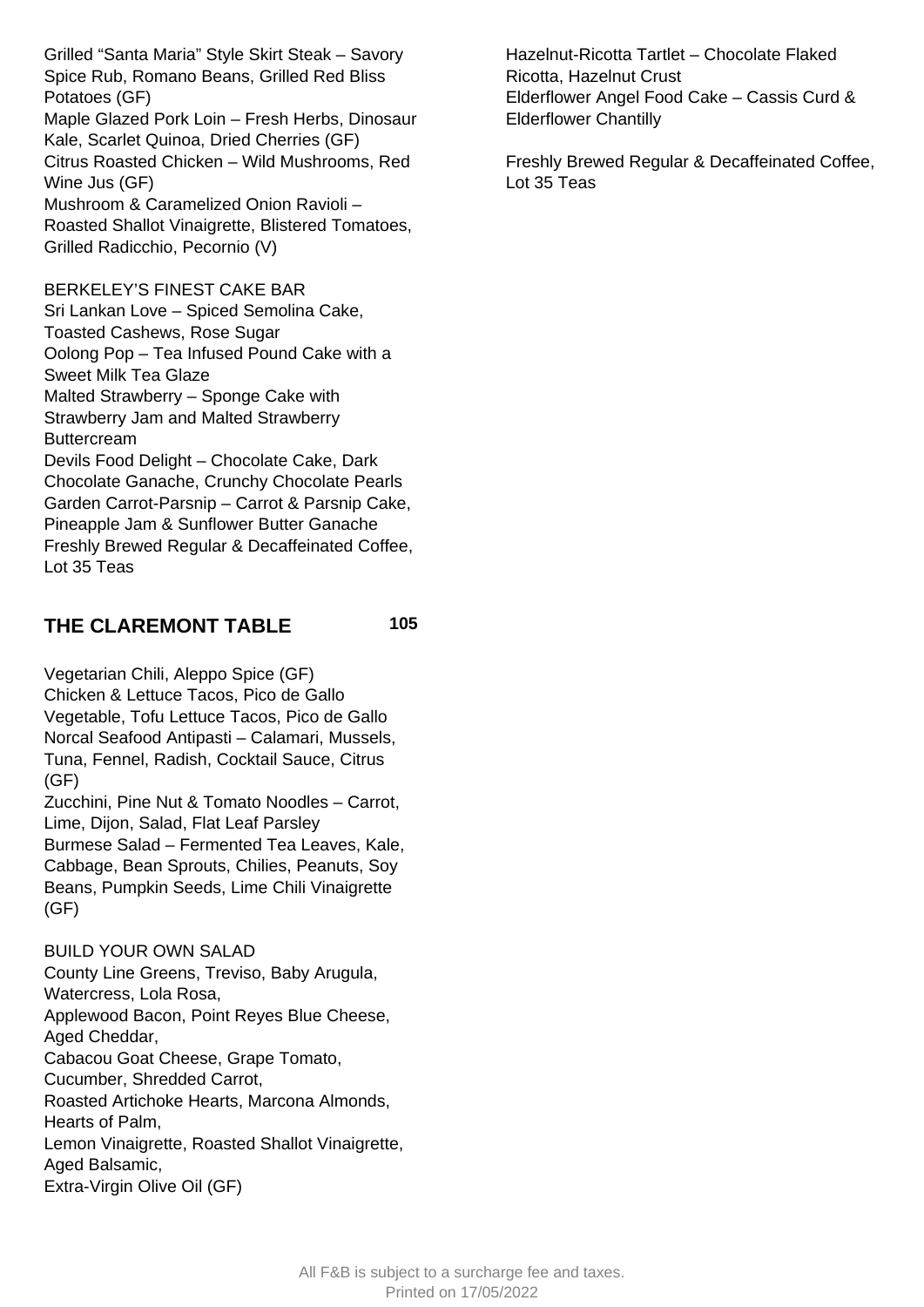Grilled "Santa Maria" Style Skirt Steak – Savory Spice Rub, Romano Beans, Grilled Red Bliss Potatoes (GF) Maple Glazed Pork Loin – Fresh Herbs, Dinosaur Kale, Scarlet Quinoa, Dried Cherries (GF) Citrus Roasted Chicken – Wild Mushrooms, Red Wine Jus (GF) Mushroom & Caramelized Onion Ravioli – Roasted Shallot Vinaigrette, Blistered Tomatoes, Grilled Radicchio, Pecornio (V)

#### BERKELEY'S FINEST CAKE BAR

Sri Lankan Love – Spiced Semolina Cake, Toasted Cashews, Rose Sugar Oolong Pop – Tea Infused Pound Cake with a Sweet Milk Tea Glaze Malted Strawberry – Sponge Cake with Strawberry Jam and Malted Strawberry **Buttercream** Devils Food Delight – Chocolate Cake, Dark Chocolate Ganache, Crunchy Chocolate Pearls Garden Carrot-Parsnip – Carrot & Parsnip Cake, Pineapple Jam & Sunflower Butter Ganache Freshly Brewed Regular & Decaffeinated Coffee, Lot 35 Teas

#### **THE CLAREMONT TABLE 105**

Vegetarian Chili, Aleppo Spice (GF) Chicken & Lettuce Tacos, Pico de Gallo Vegetable, Tofu Lettuce Tacos, Pico de Gallo Norcal Seafood Antipasti – Calamari, Mussels, Tuna, Fennel, Radish, Cocktail Sauce, Citrus (GF) Zucchini, Pine Nut & Tomato Noodles – Carrot, Lime, Dijon, Salad, Flat Leaf Parsley

Burmese Salad – Fermented Tea Leaves, Kale, Cabbage, Bean Sprouts, Chilies, Peanuts, Soy Beans, Pumpkin Seeds, Lime Chili Vinaigrette (GF)

BUILD YOUR OWN SALAD County Line Greens, Treviso, Baby Arugula, Watercress, Lola Rosa, Applewood Bacon, Point Reyes Blue Cheese, Aged Cheddar, Cabacou Goat Cheese, Grape Tomato, Cucumber, Shredded Carrot, Roasted Artichoke Hearts, Marcona Almonds, Hearts of Palm, Lemon Vinaigrette, Roasted Shallot Vinaigrette, Aged Balsamic, Extra-Virgin Olive Oil (GF)

Hazelnut-Ricotta Tartlet – Chocolate Flaked Ricotta, Hazelnut Crust Elderflower Angel Food Cake – Cassis Curd & Elderflower Chantilly

Freshly Brewed Regular & Decaffeinated Coffee, Lot 35 Teas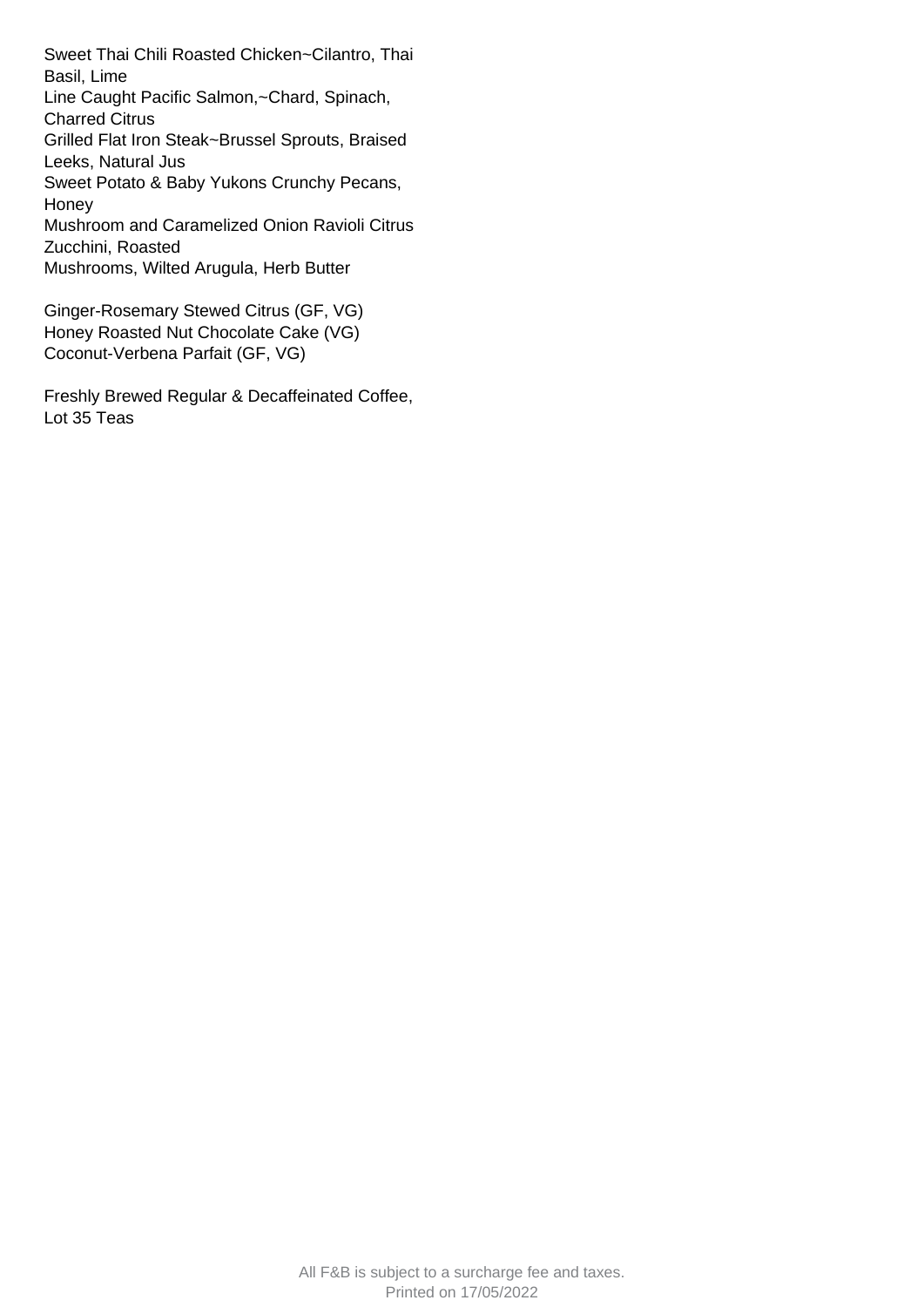Sweet Thai Chili Roasted Chicken~Cilantro, Thai Basil, Lime Line Caught Pacific Salmon,~Chard, Spinach,

Charred Citrus Grilled Flat Iron Steak~Brussel Sprouts, Braised Leeks, Natural Jus

Sweet Potato & Baby Yukons Crunchy Pecans, Honey

Mushroom and Caramelized Onion Ravioli Citrus Zucchini, Roasted

Mushrooms, Wilted Arugula, Herb Butter

Ginger-Rosemary Stewed Citrus (GF, VG) Honey Roasted Nut Chocolate Cake (VG) Coconut-Verbena Parfait (GF, VG)

Freshly Brewed Regular & Decaffeinated Coffee, Lot 35 Teas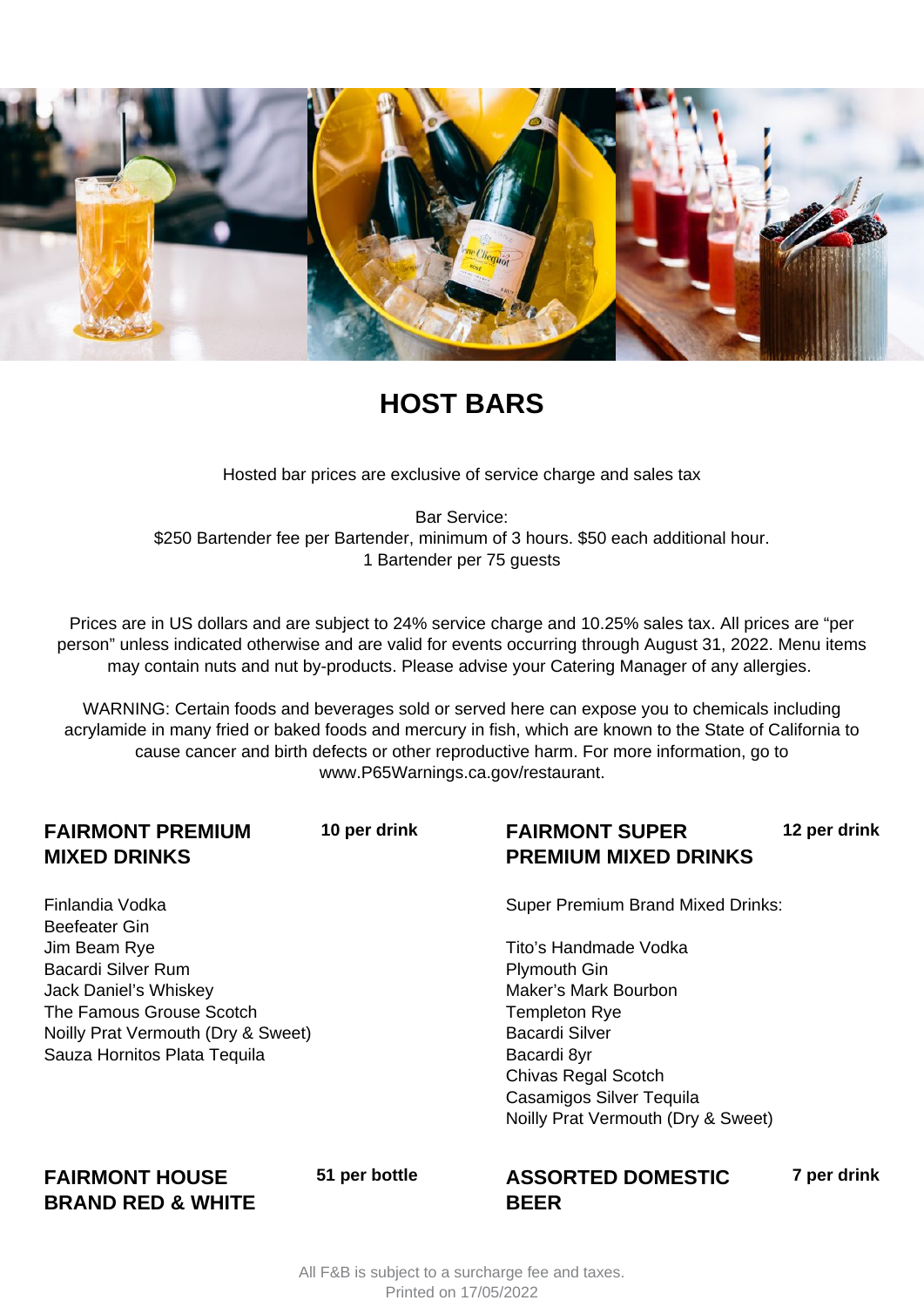

### **HOST BARS**

Hosted bar prices are exclusive of service charge and sales tax

Bar Service: \$250 Bartender fee per Bartender, minimum of 3 hours. \$50 each additional hour. 1 Bartender per 75 guests

Prices are in US dollars and are subject to 24% service charge and 10.25% sales tax. All prices are "per person" unless indicated otherwise and are valid for events occurring through August 31, 2022. Menu items may contain nuts and nut by-products. Please advise your Catering Manager of any allergies.

WARNING: Certain foods and beverages sold or served here can expose you to chemicals including acrylamide in many fried or baked foods and mercury in fish, which are known to the State of California to cause cancer and birth defects or other reproductive harm. For more information, go to www.P65Warnings.ca.gov/restaurant.

**FAIRMONT PREMIUM MIXED DRINKS**

**10 per drink**

Finlandia Vodka Beefeater Gin Jim Beam Rye Bacardi Silver Rum Jack Daniel's Whiskey The Famous Grouse Scotch Noilly Prat Vermouth (Dry & Sweet) Sauza Hornitos Plata Tequila

#### **FAIRMONT SUPER PREMIUM MIXED DRINKS 12 per drink**

Super Premium Brand Mixed Drinks:

Tito's Handmade Vodka Plymouth Gin Maker's Mark Bourbon Templeton Rye Bacardi Silver Bacardi 8yr Chivas Regal Scotch Casamigos Silver Tequila Noilly Prat Vermouth (Dry & Sweet)

### **FAIRMONT HOUSE BRAND RED & WHITE**

#### **51 per bottle ASSORTED DOMESTIC BEER**

**7 per drink**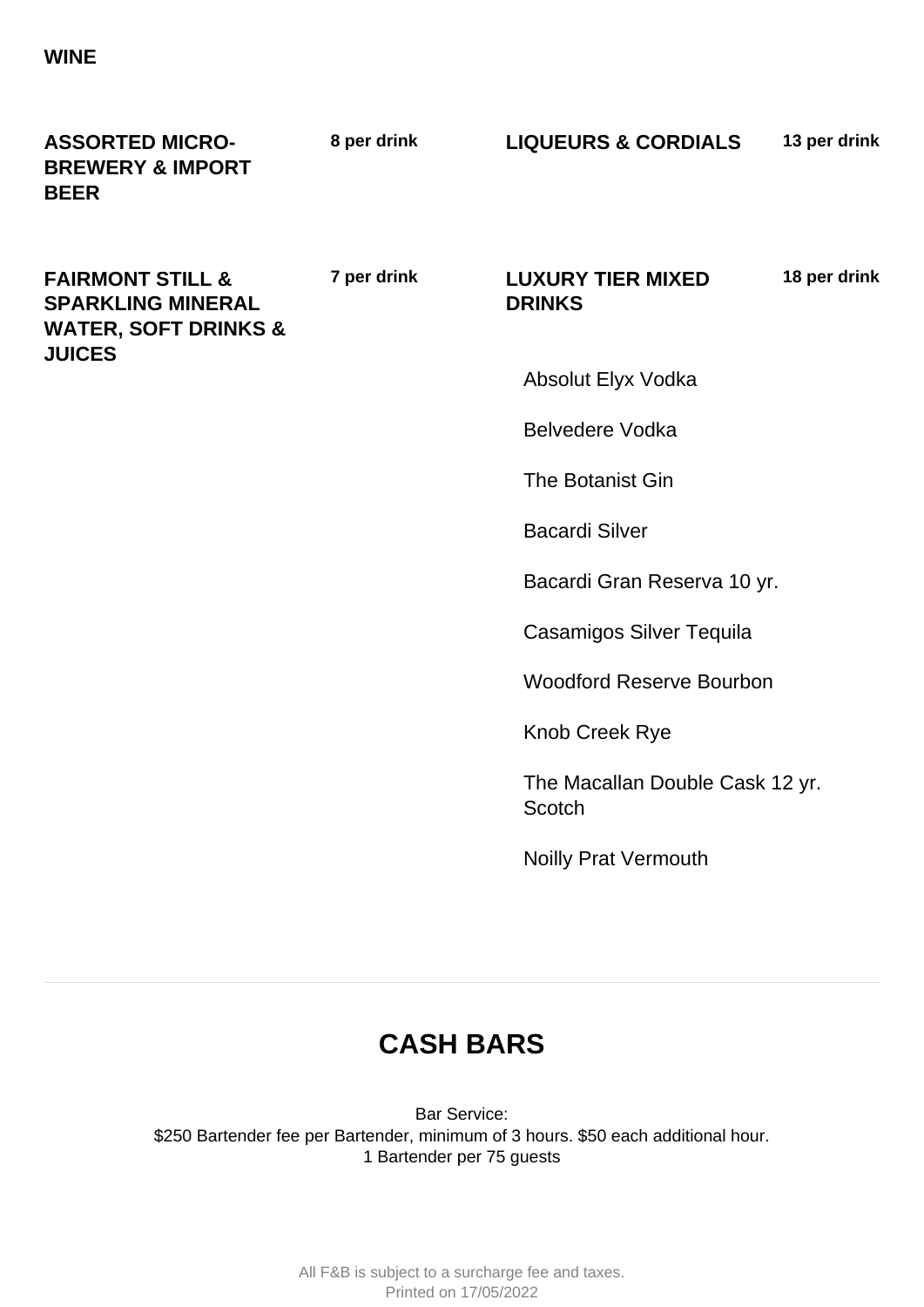**WINE**

| <b>ASSORTED MICRO-</b>      |  |
|-----------------------------|--|
| <b>BREWERY &amp; IMPORT</b> |  |
| <b>BEER</b>                 |  |

**FAIRMONT STILL & SPARKLING MINERAL WATER, SOFT DRINKS & JUICES**

### **8 per drink LIQUEURS & CORDIALS 13 per drink**

### **7 per drink LUXURY TIER MIXED DRINKS**

**18 per drink**

Absolut Elyx Vodka

Belvedere Vodka

The Botanist Gin

Bacardi Silver

Bacardi Gran Reserva 10 yr.

Casamigos Silver Tequila

Woodford Reserve Bourbon

Knob Creek Rye

The Macallan Double Cask 12 yr. **Scotch** 

Noilly Prat Vermouth

### **CASH BARS**

Bar Service: \$250 Bartender fee per Bartender, minimum of 3 hours. \$50 each additional hour. 1 Bartender per 75 guests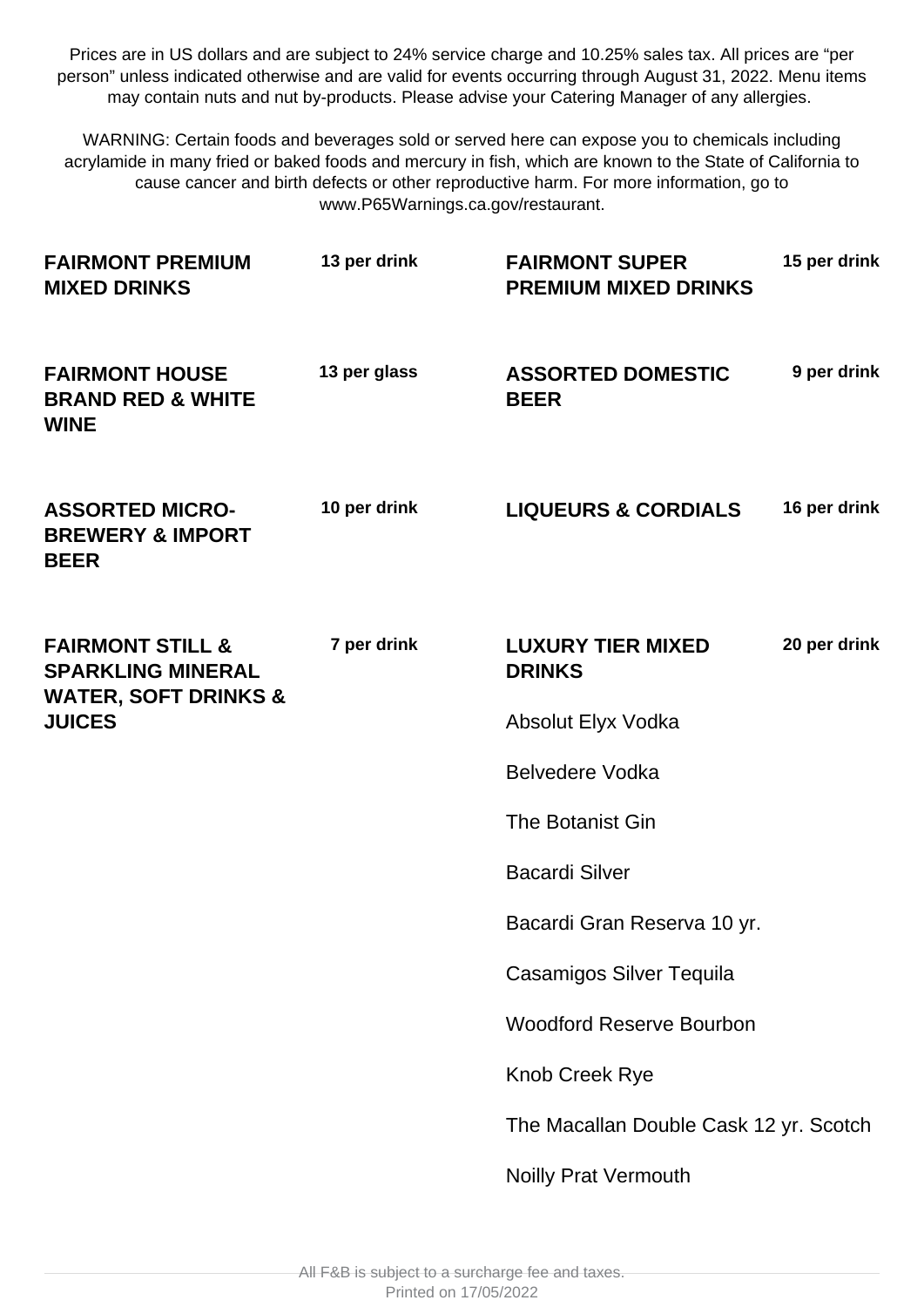Prices are in US dollars and are subject to 24% service charge and 10.25% sales tax. All prices are "per person" unless indicated otherwise and are valid for events occurring through August 31, 2022. Menu items may contain nuts and nut by-products. Please advise your Catering Manager of any allergies.

| <b>FAIRMONT PREMIUM</b><br><b>MIXED DRINKS</b>                       | 13 per drink | <b>FAIRMONT SUPER</b><br><b>PREMIUM MIXED DRINKS</b> | 15 per drink |
|----------------------------------------------------------------------|--------------|------------------------------------------------------|--------------|
| <b>FAIRMONT HOUSE</b><br><b>BRAND RED &amp; WHITE</b><br><b>WINE</b> | 13 per glass | <b>ASSORTED DOMESTIC</b><br><b>BEER</b>              | 9 per drink  |
| <b>ASSORTED MICRO-</b><br><b>BREWERY &amp; IMPORT</b><br><b>BEER</b> | 10 per drink | <b>LIQUEURS &amp; CORDIALS</b>                       | 16 per drink |
| <b>FAIRMONT STILL &amp;</b><br><b>SPARKLING MINERAL</b>              | 7 per drink  | <b>LUXURY TIER MIXED</b><br><b>DRINKS</b>            | 20 per drink |
| <b>WATER, SOFT DRINKS &amp;</b><br><b>JUICES</b>                     |              | Absolut Elyx Vodka                                   |              |
|                                                                      |              | <b>Belvedere Vodka</b>                               |              |
|                                                                      |              | The Botanist Gin                                     |              |
|                                                                      |              | <b>Bacardi Silver</b>                                |              |
|                                                                      |              | Bacardi Gran Reserva 10 yr.                          |              |
|                                                                      |              | <b>Casamigos Silver Tequila</b>                      |              |
|                                                                      |              | <b>Woodford Reserve Bourbon</b>                      |              |
|                                                                      |              | Knob Creek Rye                                       |              |
|                                                                      |              | The Macallan Double Cask 12 yr. Scotch               |              |
|                                                                      |              | <b>Noilly Prat Vermouth</b>                          |              |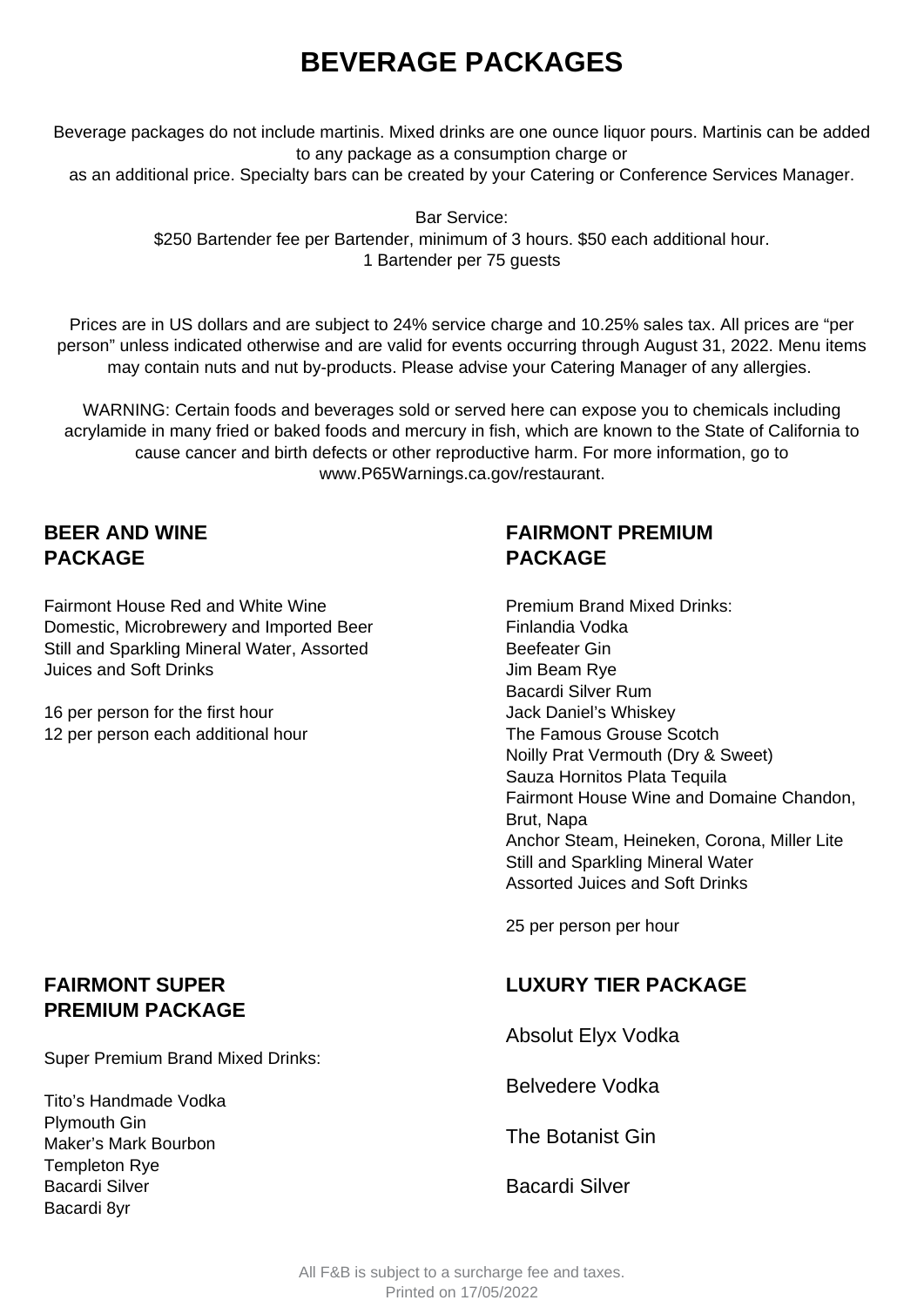### **BEVERAGE PACKAGES**

Beverage packages do not include martinis. Mixed drinks are one ounce liquor pours. Martinis can be added to any package as a consumption charge or

as an additional price. Specialty bars can be created by your Catering or Conference Services Manager.

Bar Service: \$250 Bartender fee per Bartender, minimum of 3 hours. \$50 each additional hour. 1 Bartender per 75 guests

Prices are in US dollars and are subject to 24% service charge and 10.25% sales tax. All prices are "per person" unless indicated otherwise and are valid for events occurring through August 31, 2022. Menu items may contain nuts and nut by-products. Please advise your Catering Manager of any allergies.

WARNING: Certain foods and beverages sold or served here can expose you to chemicals including acrylamide in many fried or baked foods and mercury in fish, which are known to the State of California to cause cancer and birth defects or other reproductive harm. For more information, go to www.P65Warnings.ca.gov/restaurant.

### **BEER AND WINE PACKAGE**

Fairmont House Red and White Wine Domestic, Microbrewery and Imported Beer Still and Sparkling Mineral Water, Assorted Juices and Soft Drinks

16 per person for the first hour 12 per person each additional hour

### **FAIRMONT PREMIUM PACKAGE**

Premium Brand Mixed Drinks: Finlandia Vodka Beefeater Gin Jim Beam Rye Bacardi Silver Rum Jack Daniel's Whiskey The Famous Grouse Scotch Noilly Prat Vermouth (Dry & Sweet) Sauza Hornitos Plata Tequila Fairmont House Wine and Domaine Chandon, Brut, Napa Anchor Steam, Heineken, Corona, Miller Lite Still and Sparkling Mineral Water Assorted Juices and Soft Drinks

25 per person per hour

### **LUXURY TIER PACKAGE**

Absolut Elyx Vodka

Belvedere Vodka

The Botanist Gin

Bacardi Silver

### **FAIRMONT SUPER PREMIUM PACKAGE**

Super Premium Brand Mixed Drinks:

Tito's Handmade Vodka Plymouth Gin Maker's Mark Bourbon Templeton Rye Bacardi Silver Bacardi 8yr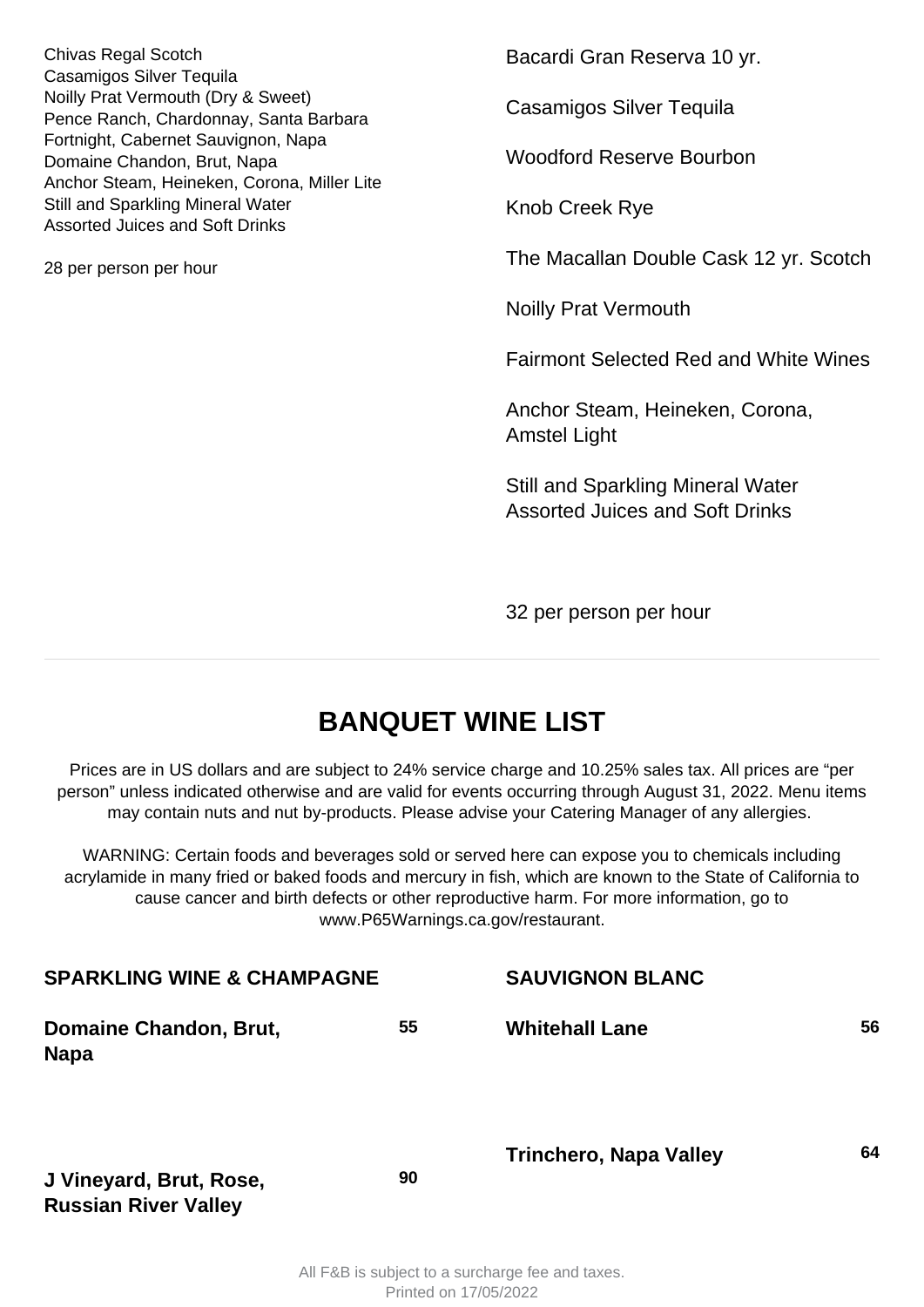Chivas Regal Scotch Casamigos Silver Tequila Noilly Prat Vermouth (Dry & Sweet) Pence Ranch, Chardonnay, Santa Barbara Fortnight, Cabernet Sauvignon, Napa Domaine Chandon, Brut, Napa Anchor Steam, Heineken, Corona, Miller Lite Still and Sparkling Mineral Water Assorted Juices and Soft Drinks

28 per person per hour

Bacardi Gran Reserva 10 yr.

Casamigos Silver Tequila

Woodford Reserve Bourbon

Knob Creek Rye

The Macallan Double Cask 12 yr. Scotch

Noilly Prat Vermouth

Fairmont Selected Red and White Wines

Anchor Steam, Heineken, Corona, Amstel Light

Still and Sparkling Mineral Water Assorted Juices and Soft Drinks

32 per person per hour

### **BANQUET WINE LIST**

Prices are in US dollars and are subject to 24% service charge and 10.25% sales tax. All prices are "per person" unless indicated otherwise and are valid for events occurring through August 31, 2022. Menu items may contain nuts and nut by-products. Please advise your Catering Manager of any allergies.

| <b>SPARKLING WINE &amp; CHAMPAGNE</b>                  |    | <b>SAUVIGNON BLANC</b>        |    |
|--------------------------------------------------------|----|-------------------------------|----|
| Domaine Chandon, Brut,<br><b>Napa</b>                  | 55 | <b>Whitehall Lane</b>         | 56 |
| J Vineyard, Brut, Rose,<br><b>Russian River Valley</b> | 90 | <b>Trinchero, Napa Valley</b> | 64 |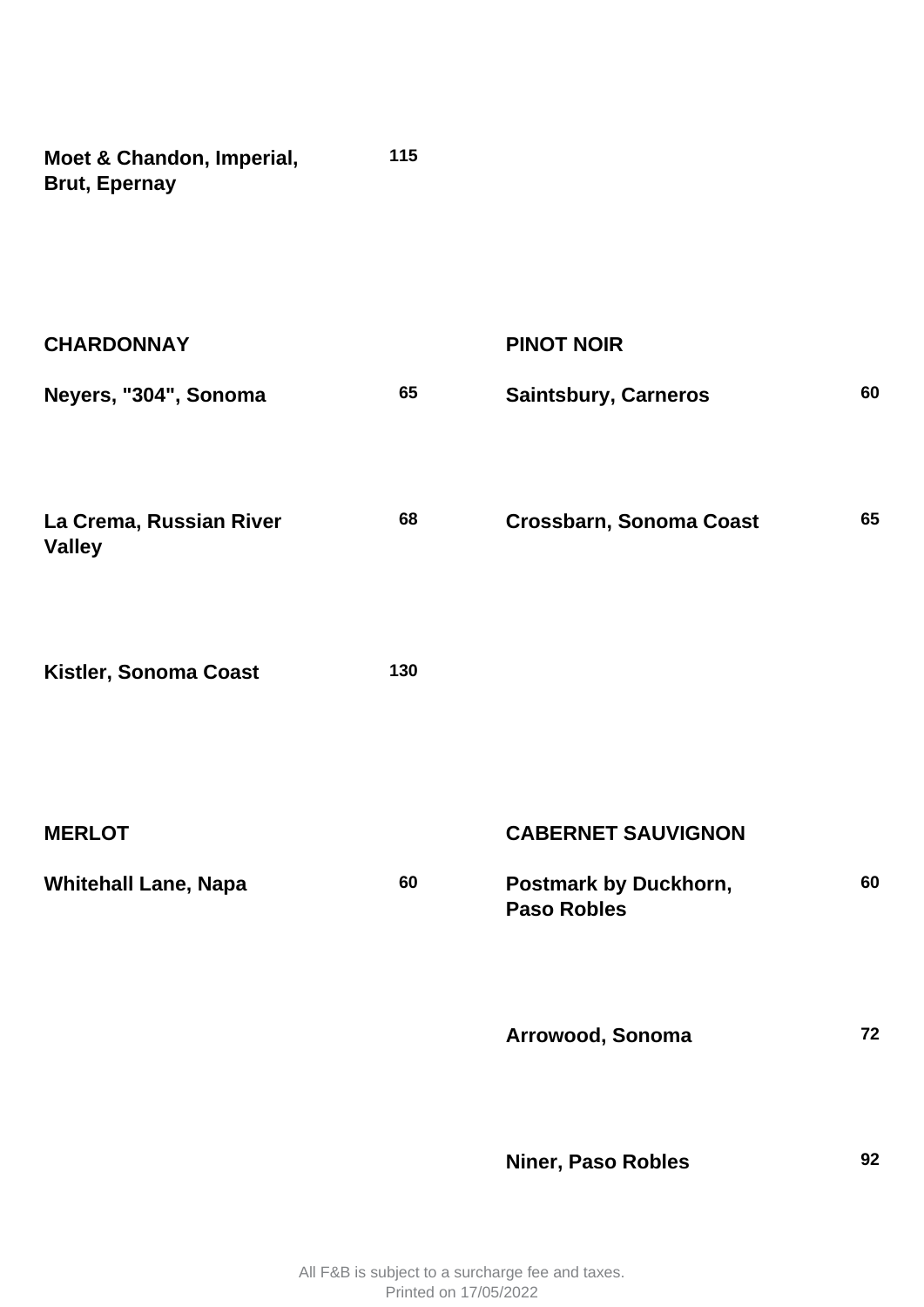| Moet & Chandon, Imperial,<br><b>Brut, Epernay</b> | 115 |                                                    |    |
|---------------------------------------------------|-----|----------------------------------------------------|----|
| <b>CHARDONNAY</b>                                 |     | <b>PINOT NOIR</b>                                  |    |
| Neyers, "304", Sonoma                             | 65  | <b>Saintsbury, Carneros</b>                        | 60 |
|                                                   |     |                                                    |    |
| La Crema, Russian River<br><b>Valley</b>          | 68  | Crossbarn, Sonoma Coast                            | 65 |
|                                                   |     |                                                    |    |
| Kistler, Sonoma Coast                             | 130 |                                                    |    |
|                                                   |     |                                                    |    |
| <b>MERLOT</b>                                     |     | <b>CABERNET SAUVIGNON</b>                          |    |
| <b>Whitehall Lane, Napa</b>                       | 60  | <b>Postmark by Duckhorn,</b><br><b>Paso Robles</b> | 60 |
|                                                   |     |                                                    |    |
|                                                   |     | Arrowood, Sonoma                                   | 72 |
|                                                   |     |                                                    |    |
|                                                   |     | <b>Niner, Paso Robles</b>                          | 92 |